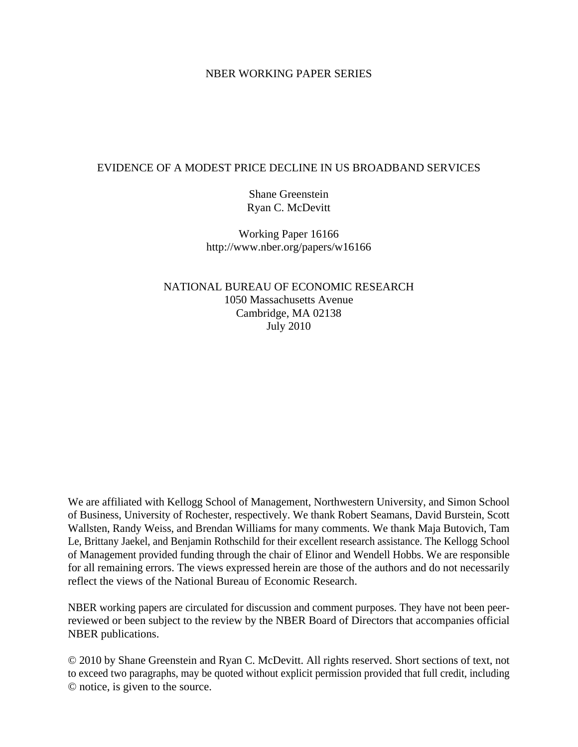#### NBER WORKING PAPER SERIES

#### EVIDENCE OF A MODEST PRICE DECLINE IN US BROADBAND SERVICES

Shane Greenstein Ryan C. McDevitt

Working Paper 16166 http://www.nber.org/papers/w16166

NATIONAL BUREAU OF ECONOMIC RESEARCH 1050 Massachusetts Avenue Cambridge, MA 02138 July 2010

We are affiliated with Kellogg School of Management, Northwestern University, and Simon School of Business, University of Rochester, respectively. We thank Robert Seamans, David Burstein, Scott Wallsten, Randy Weiss, and Brendan Williams for many comments. We thank Maja Butovich, Tam Le, Brittany Jaekel, and Benjamin Rothschild for their excellent research assistance. The Kellogg School of Management provided funding through the chair of Elinor and Wendell Hobbs. We are responsible for all remaining errors. The views expressed herein are those of the authors and do not necessarily reflect the views of the National Bureau of Economic Research.

NBER working papers are circulated for discussion and comment purposes. They have not been peerreviewed or been subject to the review by the NBER Board of Directors that accompanies official NBER publications.

© 2010 by Shane Greenstein and Ryan C. McDevitt. All rights reserved. Short sections of text, not to exceed two paragraphs, may be quoted without explicit permission provided that full credit, including © notice, is given to the source.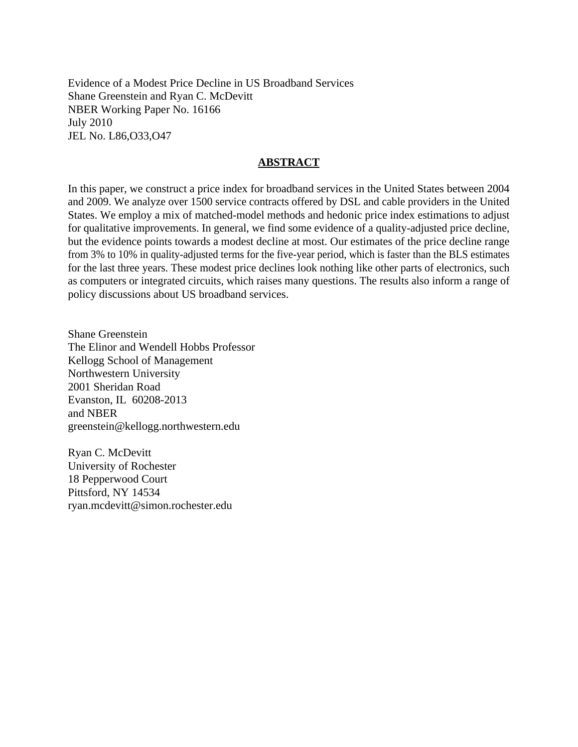Evidence of a Modest Price Decline in US Broadband Services Shane Greenstein and Ryan C. McDevitt NBER Working Paper No. 16166 July 2010 JEL No. L86,O33,O47

#### **ABSTRACT**

In this paper, we construct a price index for broadband services in the United States between 2004 and 2009. We analyze over 1500 service contracts offered by DSL and cable providers in the United States. We employ a mix of matched-model methods and hedonic price index estimations to adjust for qualitative improvements. In general, we find some evidence of a quality-adjusted price decline, but the evidence points towards a modest decline at most. Our estimates of the price decline range from 3% to 10% in quality-adjusted terms for the five-year period, which is faster than the BLS estimates for the last three years. These modest price declines look nothing like other parts of electronics, such as computers or integrated circuits, which raises many questions. The results also inform a range of policy discussions about US broadband services.

Shane Greenstein The Elinor and Wendell Hobbs Professor Kellogg School of Management Northwestern University 2001 Sheridan Road Evanston, IL 60208-2013 and NBER greenstein@kellogg.northwestern.edu

Ryan C. McDevitt University of Rochester 18 Pepperwood Court Pittsford, NY 14534 ryan.mcdevitt@simon.rochester.edu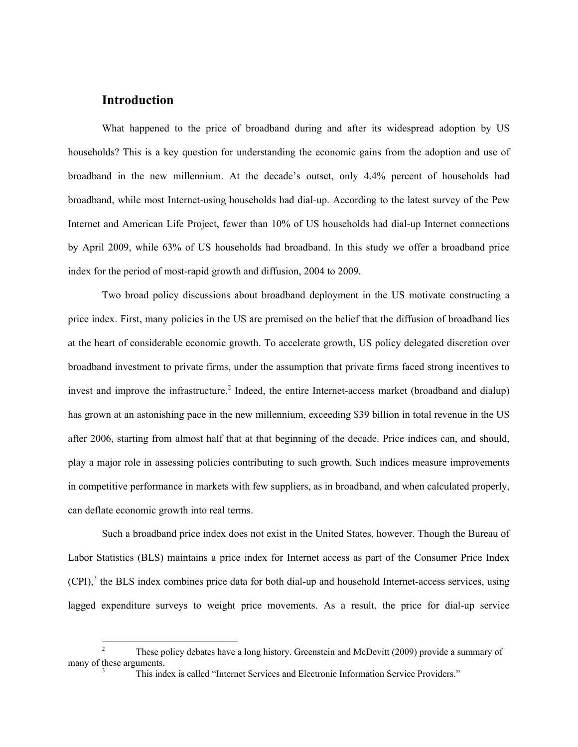#### **Introduction**

What happened to the price of broadband during and after its widespread adoption by US households? This is a key question for understanding the economic gains from the adoption and use of broadband in the new millennium. At the decade's outset, only 4.4% percent of households had broadband, while most Internet-using households had dial-up. According to the latest survey of the Pew Internet and American Life Project, fewer than 10% of US households had dial-up Internet connections by April 2009, while 63% of US households had broadband. In this study we offer a broadband price index for the period of most-rapid growth and diffusion, 2004 to 2009.

Two broad policy discussions about broadband deployment in the US motivate constructing a price index. First, many policies in the US are premised on the belief that the diffusion of broadband lies at the heart of considerable economic growth. To accelerate growth, US policy delegated discretion over broadband investment to private firms, under the assumption that private firms faced strong incentives to invest and improve the infrastructure.<sup>2</sup> Indeed, the entire Internet-access market (broadband and dialup) has grown at an astonishing pace in the new millennium, exceeding \$39 billion in total revenue in the US after 2006, starting from almost half that at that beginning of the decade. Price indices can, and should, play a major role in assessing policies contributing to such growth. Such indices measure improvements in competitive performance in markets with few suppliers, as in broadband, and when calculated properly, can deflate economic growth into real terms.

Such a broadband price index does not exist in the United States, however. Though the Bureau of Labor Statistics (BLS) maintains a price index for Internet access as part of the Consumer Price Index  $(CPI)$ , the BLS index combines price data for both dial-up and household Internet-access services, using lagged expenditure surveys to weight price movements. As a result, the price for dial-up service

 $\frac{1}{2}$  These policy debates have a long history. Greenstein and McDevitt (2009) provide a summary of many of these arguments.

This index is called "Internet Services and Electronic Information Service Providers."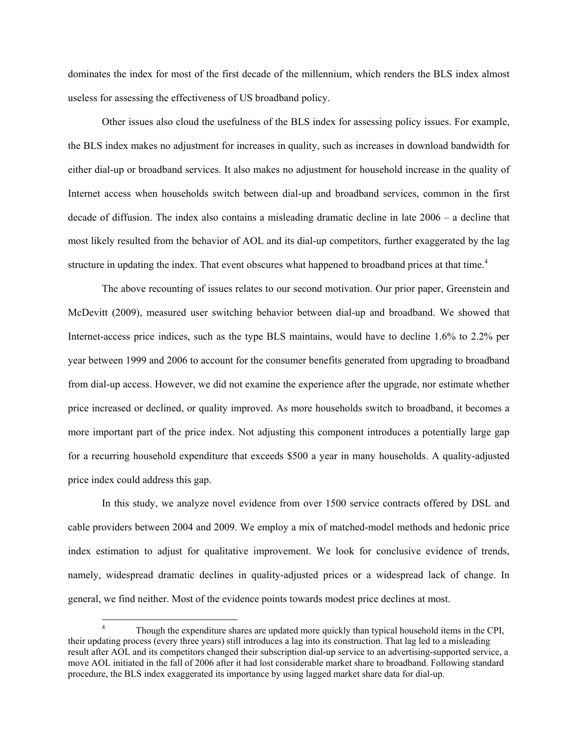dominates the index for most of the first decade of the millennium, which renders the BLS index almost useless for assessing the effectiveness of US broadband policy.

Other issues also cloud the usefulness of the BLS index for assessing policy issues. For example, the BLS index makes no adjustment for increases in quality, such as increases in download bandwidth for either dial-up or broadband services. It also makes no adjustment for household increase in the quality of Internet access when households switch between dial-up and broadband services, common in the first decade of diffusion. The index also contains a misleading dramatic decline in late 2006 – a decline that most likely resulted from the behavior of AOL and its dial-up competitors, further exaggerated by the lag structure in updating the index. That event obscures what happened to broadband prices at that time.<sup>4</sup>

The above recounting of issues relates to our second motivation. Our prior paper, Greenstein and McDevitt (2009), measured user switching behavior between dial-up and broadband. We showed that Internet-access price indices, such as the type BLS maintains, would have to decline 1.6% to 2.2% per year between 1999 and 2006 to account for the consumer benefits generated from upgrading to broadband from dial-up access. However, we did not examine the experience after the upgrade, nor estimate whether price increased or declined, or quality improved. As more households switch to broadband, it becomes a more important part of the price index. Not adjusting this component introduces a potentially large gap for a recurring household expenditure that exceeds \$500 a year in many households. A quality-adjusted price index could address this gap.

In this study, we analyze novel evidence from over 1500 service contracts offered by DSL and cable providers between 2004 and 2009. We employ a mix of matched-model methods and hedonic price index estimation to adjust for qualitative improvement. We look for conclusive evidence of trends, namely, widespread dramatic declines in quality-adjusted prices or a widespread lack of change. In general, we find neither. Most of the evidence points towards modest price declines at most.

 $\overline{a}$ 

<sup>4</sup> Though the expenditure shares are updated more quickly than typical household items in the CPI, their updating process (every three years) still introduces a lag into its construction. That lag led to a misleading result after AOL and its competitors changed their subscription dial-up service to an advertising-supported service, a move AOL initiated in the fall of 2006 after it had lost considerable market share to broadband. Following standard procedure, the BLS index exaggerated its importance by using lagged market share data for dial-up.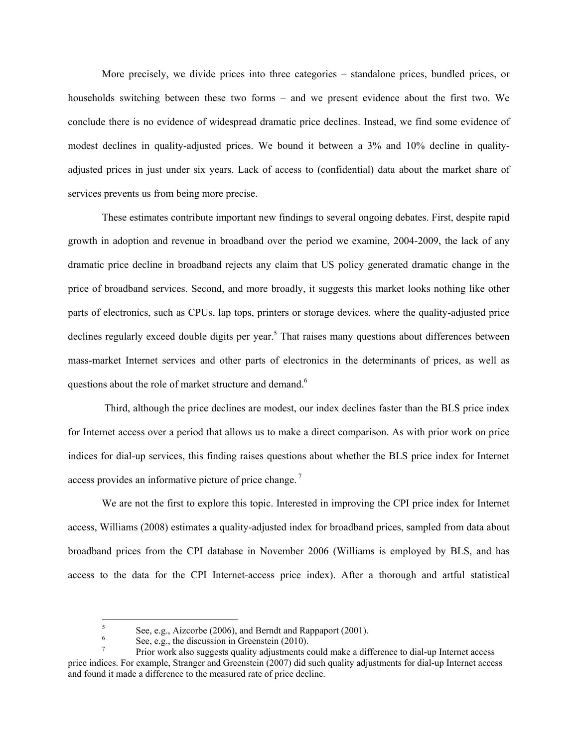More precisely, we divide prices into three categories – standalone prices, bundled prices, or households switching between these two forms – and we present evidence about the first two. We conclude there is no evidence of widespread dramatic price declines. Instead, we find some evidence of modest declines in quality-adjusted prices. We bound it between a 3% and 10% decline in qualityadjusted prices in just under six years. Lack of access to (confidential) data about the market share of services prevents us from being more precise.

These estimates contribute important new findings to several ongoing debates. First, despite rapid growth in adoption and revenue in broadband over the period we examine, 2004-2009, the lack of any dramatic price decline in broadband rejects any claim that US policy generated dramatic change in the price of broadband services. Second, and more broadly, it suggests this market looks nothing like other parts of electronics, such as CPUs, lap tops, printers or storage devices, where the quality-adjusted price declines regularly exceed double digits per year.<sup>5</sup> That raises many questions about differences between mass-market Internet services and other parts of electronics in the determinants of prices, as well as questions about the role of market structure and demand.<sup>6</sup>

 Third, although the price declines are modest, our index declines faster than the BLS price index for Internet access over a period that allows us to make a direct comparison. As with prior work on price indices for dial-up services, this finding raises questions about whether the BLS price index for Internet access provides an informative picture of price change. 7

We are not the first to explore this topic. Interested in improving the CPI price index for Internet access, Williams (2008) estimates a quality-adjusted index for broadband prices, sampled from data about broadband prices from the CPI database in November 2006 (Williams is employed by BLS, and has access to the data for the CPI Internet-access price index). After a thorough and artful statistical

 5 See, e.g., Aizcorbe (2006), and Berndt and Rappaport (2001).

See, e.g., the discussion in Greenstein (2010).

Prior work also suggests quality adjustments could make a difference to dial-up Internet access price indices. For example, Stranger and Greenstein (2007) did such quality adjustments for dial-up Internet access and found it made a difference to the measured rate of price decline.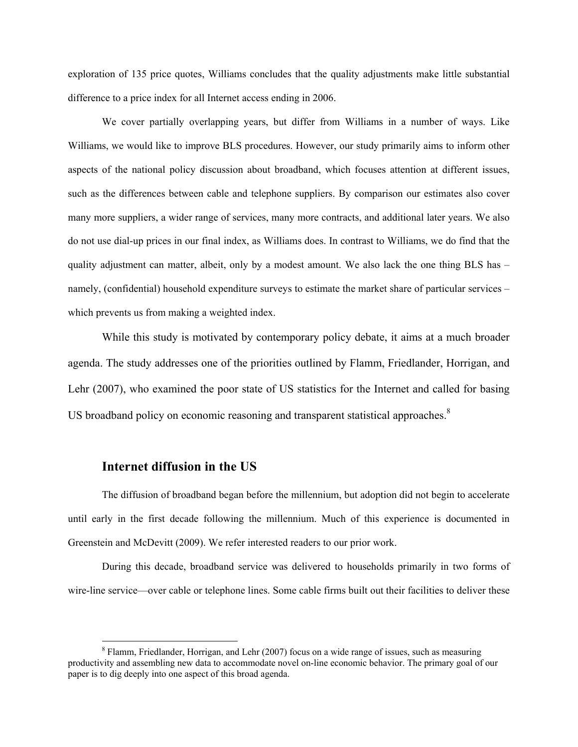exploration of 135 price quotes, Williams concludes that the quality adjustments make little substantial difference to a price index for all Internet access ending in 2006.

We cover partially overlapping years, but differ from Williams in a number of ways. Like Williams, we would like to improve BLS procedures. However, our study primarily aims to inform other aspects of the national policy discussion about broadband, which focuses attention at different issues, such as the differences between cable and telephone suppliers. By comparison our estimates also cover many more suppliers, a wider range of services, many more contracts, and additional later years. We also do not use dial-up prices in our final index, as Williams does. In contrast to Williams, we do find that the quality adjustment can matter, albeit, only by a modest amount. We also lack the one thing BLS has – namely, (confidential) household expenditure surveys to estimate the market share of particular services – which prevents us from making a weighted index.

While this study is motivated by contemporary policy debate, it aims at a much broader agenda. The study addresses one of the priorities outlined by Flamm, Friedlander, Horrigan, and Lehr (2007), who examined the poor state of US statistics for the Internet and called for basing US broadband policy on economic reasoning and transparent statistical approaches. $8$ 

#### **Internet diffusion in the US**

 $\overline{a}$ 

The diffusion of broadband began before the millennium, but adoption did not begin to accelerate until early in the first decade following the millennium. Much of this experience is documented in Greenstein and McDevitt (2009). We refer interested readers to our prior work.

During this decade, broadband service was delivered to households primarily in two forms of wire-line service—over cable or telephone lines. Some cable firms built out their facilities to deliver these

<sup>&</sup>lt;sup>8</sup> Flamm, Friedlander, Horrigan, and Lehr (2007) focus on a wide range of issues, such as measuring productivity and assembling new data to accommodate novel on-line economic behavior. The primary goal of our paper is to dig deeply into one aspect of this broad agenda.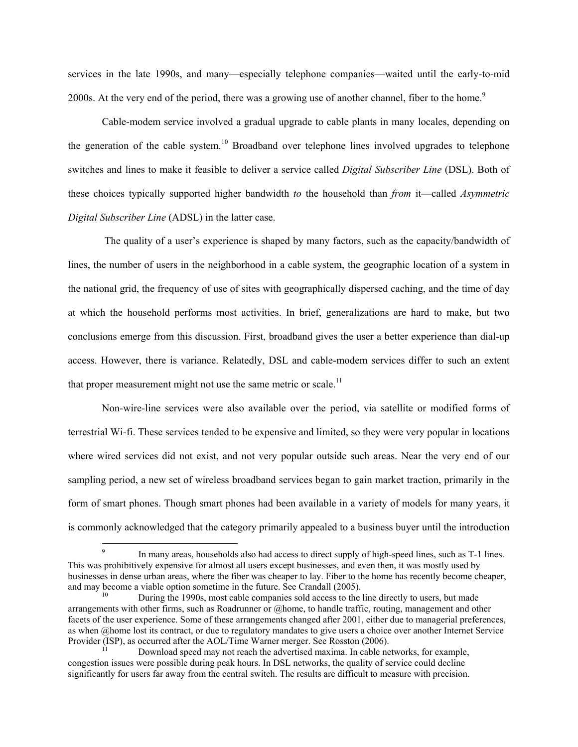services in the late 1990s, and many—especially telephone companies—waited until the early-to-mid 2000s. At the very end of the period, there was a growing use of another channel, fiber to the home.<sup>9</sup>

Cable-modem service involved a gradual upgrade to cable plants in many locales, depending on the generation of the cable system.<sup>10</sup> Broadband over telephone lines involved upgrades to telephone switches and lines to make it feasible to deliver a service called *Digital Subscriber Line* (DSL). Both of these choices typically supported higher bandwidth *to* the household than *from* it—called *Asymmetric Digital Subscriber Line* (ADSL) in the latter case.

 The quality of a user's experience is shaped by many factors, such as the capacity/bandwidth of lines, the number of users in the neighborhood in a cable system, the geographic location of a system in the national grid, the frequency of use of sites with geographically dispersed caching, and the time of day at which the household performs most activities. In brief, generalizations are hard to make, but two conclusions emerge from this discussion. First, broadband gives the user a better experience than dial-up access. However, there is variance. Relatedly, DSL and cable-modem services differ to such an extent that proper measurement might not use the same metric or scale.<sup>11</sup>

Non-wire-line services were also available over the period, via satellite or modified forms of terrestrial Wi-fi. These services tended to be expensive and limited, so they were very popular in locations where wired services did not exist, and not very popular outside such areas. Near the very end of our sampling period, a new set of wireless broadband services began to gain market traction, primarily in the form of smart phones. Though smart phones had been available in a variety of models for many years, it is commonly acknowledged that the category primarily appealed to a business buyer until the introduction

 $\overline{a}$ 

<sup>9</sup> In many areas, households also had access to direct supply of high-speed lines, such as T-1 lines. This was prohibitively expensive for almost all users except businesses, and even then, it was mostly used by businesses in dense urban areas, where the fiber was cheaper to lay. Fiber to the home has recently become cheaper, and may become a viable option sometime in the future. See Crandall (2005).<br>During the 1990s, most cable companies sold access to the line directly to users, but made

arrangements with other firms, such as Roadrunner or @home, to handle traffic, routing, management and other facets of the user experience. Some of these arrangements changed after 2001, either due to managerial preferences, as when @home lost its contract, or due to regulatory mandates to give users a choice over another Internet Service Provider (ISP), as occurred after the AOL/Time Warner merger. See Rosston (2006).<br>Download speed may not reach the advertised maxima. In cable networks, for example,

congestion issues were possible during peak hours. In DSL networks, the quality of service could decline significantly for users far away from the central switch. The results are difficult to measure with precision.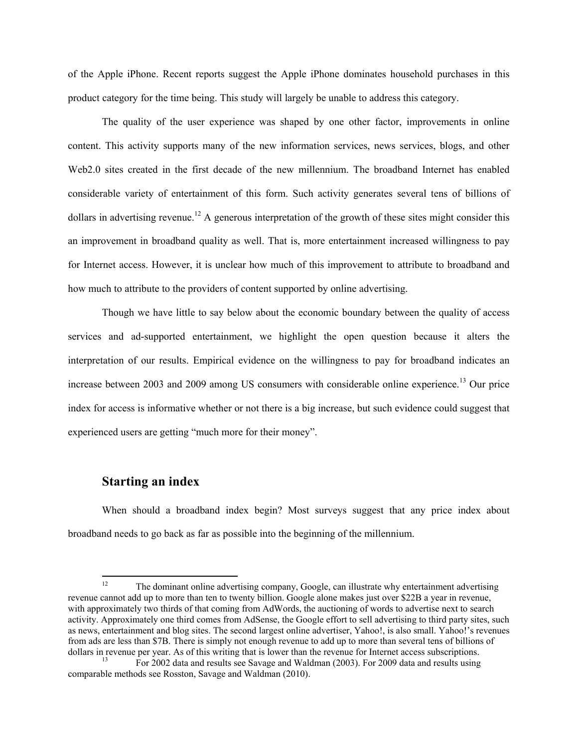of the Apple iPhone. Recent reports suggest the Apple iPhone dominates household purchases in this product category for the time being. This study will largely be unable to address this category.

The quality of the user experience was shaped by one other factor, improvements in online content. This activity supports many of the new information services, news services, blogs, and other Web2.0 sites created in the first decade of the new millennium. The broadband Internet has enabled considerable variety of entertainment of this form. Such activity generates several tens of billions of dollars in advertising revenue.<sup>12</sup> A generous interpretation of the growth of these sites might consider this an improvement in broadband quality as well. That is, more entertainment increased willingness to pay for Internet access. However, it is unclear how much of this improvement to attribute to broadband and how much to attribute to the providers of content supported by online advertising.

Though we have little to say below about the economic boundary between the quality of access services and ad-supported entertainment, we highlight the open question because it alters the interpretation of our results. Empirical evidence on the willingness to pay for broadband indicates an increase between 2003 and 2009 among US consumers with considerable online experience.<sup>13</sup> Our price index for access is informative whether or not there is a big increase, but such evidence could suggest that experienced users are getting "much more for their money".

#### **Starting an index**

When should a broadband index begin? Most surveys suggest that any price index about broadband needs to go back as far as possible into the beginning of the millennium.

 $12$ 12 The dominant online advertising company, Google, can illustrate why entertainment advertising revenue cannot add up to more than ten to twenty billion. Google alone makes just over \$22B a year in revenue, with approximately two thirds of that coming from AdWords, the auctioning of words to advertise next to search activity. Approximately one third comes from AdSense, the Google effort to sell advertising to third party sites, such as news, entertainment and blog sites. The second largest online advertiser, Yahoo!, is also small. Yahoo!'s revenues from ads are less than \$7B. There is simply not enough revenue to add up to more than several tens of billions of dollars in revenue per year. As of this writing that is lower than the revenue for Internet access subscriptions. 13 For 2002 data and results see Savage and Waldman (2003). For 2009 data and results using

comparable methods see Rosston, Savage and Waldman (2010).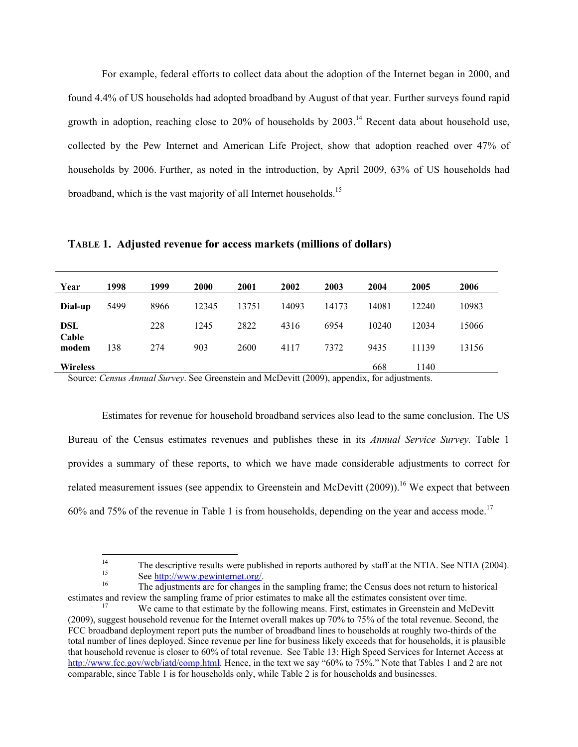For example, federal efforts to collect data about the adoption of the Internet began in 2000, and found 4.4% of US households had adopted broadband by August of that year. Further surveys found rapid growth in adoption, reaching close to 20% of households by  $2003$ .<sup>14</sup> Recent data about household use, collected by the Pew Internet and American Life Project, show that adoption reached over 47% of households by 2006. Further, as noted in the introduction, by April 2009, 63% of US households had broadband, which is the vast majority of all Internet households.<sup>15</sup>

**TABLE 1. Adjusted revenue for access markets (millions of dollars)** 

| Year            | 1998 | 1999 | 2000  | 2001  | 2002  | 2003  | 2004  | 2005  | 2006  |
|-----------------|------|------|-------|-------|-------|-------|-------|-------|-------|
| Dial-up         | 5499 | 8966 | 12345 | 13751 | 14093 | 14173 | 14081 | 12240 | 10983 |
| DSL             |      | 228  | 1245  | 2822  | 4316  | 6954  | 10240 | 12034 | 15066 |
| Cable<br>modem  | 138  | 274  | 903   | 2600  | 4117  | 7372  | 9435  | 11139 | 13156 |
| <b>Wireless</b> |      |      |       |       |       |       | 668   | 1140  |       |

Source: *Census Annual Survey*. See Greenstein and McDevitt (2009), appendix, for adjustments.

Estimates for revenue for household broadband services also lead to the same conclusion. The US Bureau of the Census estimates revenues and publishes these in its *Annual Service Survey.* Table 1 provides a summary of these reports, to which we have made considerable adjustments to correct for related measurement issues (see appendix to Greenstein and McDevitt  $(2009)$ ).<sup>16</sup> We expect that between 60% and 75% of the revenue in Table 1 is from households, depending on the year and access mode.<sup>17</sup>

 $14$ <sup>14</sup> The descriptive results were published in reports authored by staff at the NTIA. See NTIA (2004).

<sup>&</sup>lt;sup>15</sup><br><sup>16</sup> See <u>http://www.pewinternet.org/</u>.<br><sup>16</sup> The adjustments are for changes in the sampling frame; the Census does not return to historical

estimates and review the sampling frame of prior estimates to make all the estimates consistent over time.<br><sup>17</sup> We came to that estimate by the following means. First, estimates in Greenstein and McDevitt

<sup>(2009),</sup> suggest household revenue for the Internet overall makes up 70% to 75% of the total revenue. Second, the FCC broadband deployment report puts the number of broadband lines to households at roughly two-thirds of the total number of lines deployed. Since revenue per line for business likely exceeds that for households, it is plausible that household revenue is closer to 60% of total revenue. See Table 13: High Speed Services for Internet Access at http://www.fcc.gov/wcb/iatd/comp.html. Hence, in the text we say "60% to 75%." Note that Tables 1 and 2 are not comparable, since Table 1 is for households only, while Table 2 is for households and businesses.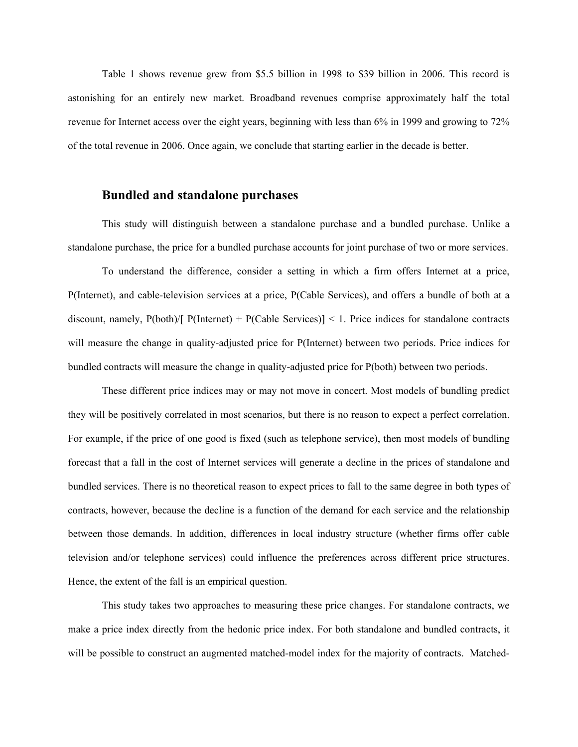Table 1 shows revenue grew from \$5.5 billion in 1998 to \$39 billion in 2006. This record is astonishing for an entirely new market. Broadband revenues comprise approximately half the total revenue for Internet access over the eight years, beginning with less than 6% in 1999 and growing to 72% of the total revenue in 2006. Once again, we conclude that starting earlier in the decade is better.

#### **Bundled and standalone purchases**

This study will distinguish between a standalone purchase and a bundled purchase. Unlike a standalone purchase, the price for a bundled purchase accounts for joint purchase of two or more services.

To understand the difference, consider a setting in which a firm offers Internet at a price, P(Internet), and cable-television services at a price, P(Cable Services), and offers a bundle of both at a discount, namely,  $P(both)/[P(Internet) + P(Cable Services)] < 1$ . Price indices for standalone contracts will measure the change in quality-adjusted price for P(Internet) between two periods. Price indices for bundled contracts will measure the change in quality-adjusted price for P(both) between two periods.

These different price indices may or may not move in concert. Most models of bundling predict they will be positively correlated in most scenarios, but there is no reason to expect a perfect correlation. For example, if the price of one good is fixed (such as telephone service), then most models of bundling forecast that a fall in the cost of Internet services will generate a decline in the prices of standalone and bundled services. There is no theoretical reason to expect prices to fall to the same degree in both types of contracts, however, because the decline is a function of the demand for each service and the relationship between those demands. In addition, differences in local industry structure (whether firms offer cable television and/or telephone services) could influence the preferences across different price structures. Hence, the extent of the fall is an empirical question.

This study takes two approaches to measuring these price changes. For standalone contracts, we make a price index directly from the hedonic price index. For both standalone and bundled contracts, it will be possible to construct an augmented matched-model index for the majority of contracts. Matched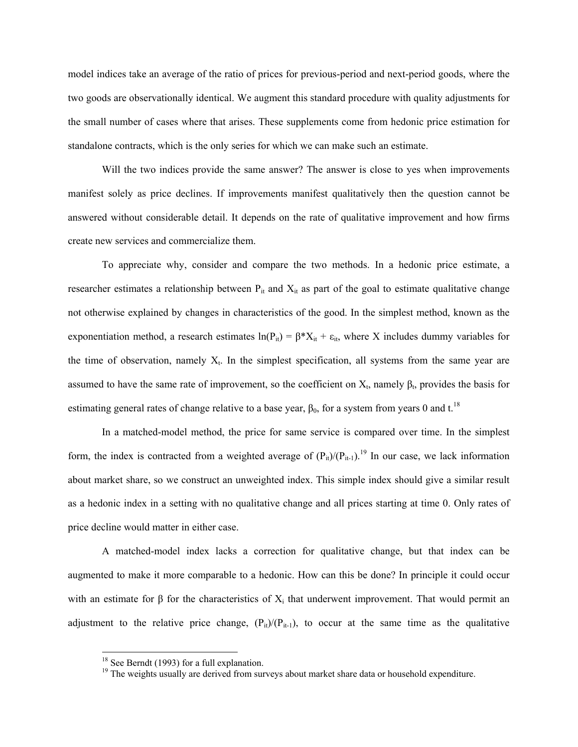model indices take an average of the ratio of prices for previous-period and next-period goods, where the two goods are observationally identical. We augment this standard procedure with quality adjustments for the small number of cases where that arises. These supplements come from hedonic price estimation for standalone contracts, which is the only series for which we can make such an estimate.

Will the two indices provide the same answer? The answer is close to yes when improvements manifest solely as price declines. If improvements manifest qualitatively then the question cannot be answered without considerable detail. It depends on the rate of qualitative improvement and how firms create new services and commercialize them.

To appreciate why, consider and compare the two methods. In a hedonic price estimate, a researcher estimates a relationship between  $P_{it}$  and  $X_{it}$  as part of the goal to estimate qualitative change not otherwise explained by changes in characteristics of the good. In the simplest method, known as the exponentiation method, a research estimates  $ln(P_{it}) = \beta^* X_{it} + \varepsilon_{it}$ , where X includes dummy variables for the time of observation, namely  $X_t$ . In the simplest specification, all systems from the same year are assumed to have the same rate of improvement, so the coefficient on  $X_t$ , namely  $\beta_t$ , provides the basis for estimating general rates of change relative to a base year,  $\beta_0$ , for a system from years 0 and t.<sup>18</sup>

In a matched-model method, the price for same service is compared over time. In the simplest form, the index is contracted from a weighted average of  $(P_{it})/(P_{it-1})$ .<sup>19</sup> In our case, we lack information about market share, so we construct an unweighted index. This simple index should give a similar result as a hedonic index in a setting with no qualitative change and all prices starting at time 0. Only rates of price decline would matter in either case.

A matched-model index lacks a correction for qualitative change, but that index can be augmented to make it more comparable to a hedonic. How can this be done? In principle it could occur with an estimate for  $\beta$  for the characteristics of  $X_i$  that underwent improvement. That would permit an adjustment to the relative price change,  $(P_{it})/(P_{it-1})$ , to occur at the same time as the qualitative

 $\overline{a}$ 

 $18$  See Berndt (1993) for a full explanation.

<sup>&</sup>lt;sup>19</sup> The weights usually are derived from surveys about market share data or household expenditure.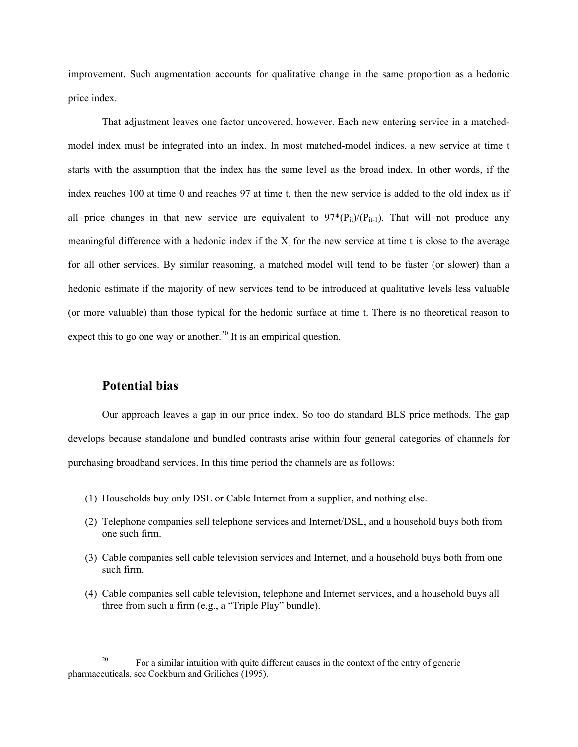improvement. Such augmentation accounts for qualitative change in the same proportion as a hedonic price index.

That adjustment leaves one factor uncovered, however. Each new entering service in a matchedmodel index must be integrated into an index. In most matched-model indices, a new service at time t starts with the assumption that the index has the same level as the broad index. In other words, if the index reaches 100 at time 0 and reaches 97 at time t, then the new service is added to the old index as if all price changes in that new service are equivalent to  $97*(P_{it})/(P_{it-1})$ . That will not produce any meaningful difference with a hedonic index if the  $X_t$  for the new service at time t is close to the average for all other services. By similar reasoning, a matched model will tend to be faster (or slower) than a hedonic estimate if the majority of new services tend to be introduced at qualitative levels less valuable (or more valuable) than those typical for the hedonic surface at time t. There is no theoretical reason to expect this to go one way or another.<sup>20</sup> It is an empirical question.

#### **Potential bias**

Our approach leaves a gap in our price index. So too do standard BLS price methods. The gap develops because standalone and bundled contrasts arise within four general categories of channels for purchasing broadband services. In this time period the channels are as follows:

- (1) Households buy only DSL or Cable Internet from a supplier, and nothing else.
- (2) Telephone companies sell telephone services and Internet/DSL, and a household buys both from one such firm.
- (3) Cable companies sell cable television services and Internet, and a household buys both from one such firm.
- (4) Cable companies sell cable television, telephone and Internet services, and a household buys all three from such a firm (e.g., a "Triple Play" bundle).

 $20\,$ For a similar intuition with quite different causes in the context of the entry of generic pharmaceuticals, see Cockburn and Griliches (1995).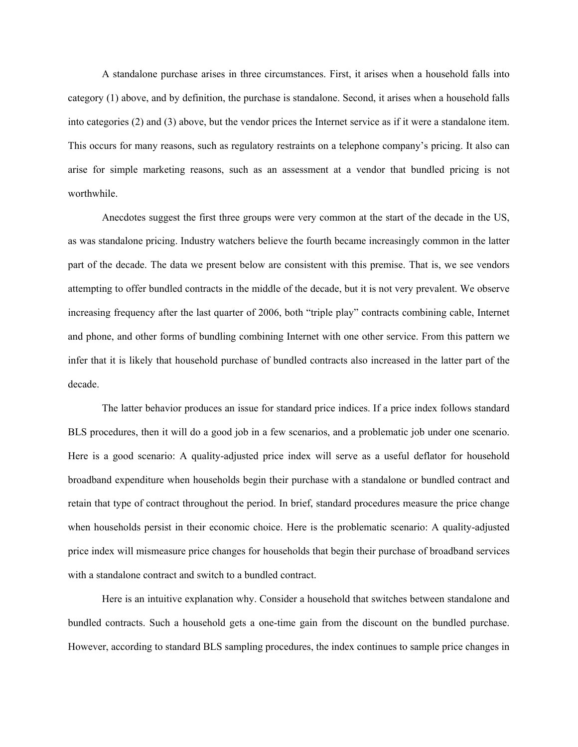A standalone purchase arises in three circumstances. First, it arises when a household falls into category (1) above, and by definition, the purchase is standalone. Second, it arises when a household falls into categories (2) and (3) above, but the vendor prices the Internet service as if it were a standalone item. This occurs for many reasons, such as regulatory restraints on a telephone company's pricing. It also can arise for simple marketing reasons, such as an assessment at a vendor that bundled pricing is not worthwhile.

Anecdotes suggest the first three groups were very common at the start of the decade in the US, as was standalone pricing. Industry watchers believe the fourth became increasingly common in the latter part of the decade. The data we present below are consistent with this premise. That is, we see vendors attempting to offer bundled contracts in the middle of the decade, but it is not very prevalent. We observe increasing frequency after the last quarter of 2006, both "triple play" contracts combining cable, Internet and phone, and other forms of bundling combining Internet with one other service. From this pattern we infer that it is likely that household purchase of bundled contracts also increased in the latter part of the decade.

The latter behavior produces an issue for standard price indices. If a price index follows standard BLS procedures, then it will do a good job in a few scenarios, and a problematic job under one scenario. Here is a good scenario: A quality-adjusted price index will serve as a useful deflator for household broadband expenditure when households begin their purchase with a standalone or bundled contract and retain that type of contract throughout the period. In brief, standard procedures measure the price change when households persist in their economic choice. Here is the problematic scenario: A quality-adjusted price index will mismeasure price changes for households that begin their purchase of broadband services with a standalone contract and switch to a bundled contract.

Here is an intuitive explanation why. Consider a household that switches between standalone and bundled contracts. Such a household gets a one-time gain from the discount on the bundled purchase. However, according to standard BLS sampling procedures, the index continues to sample price changes in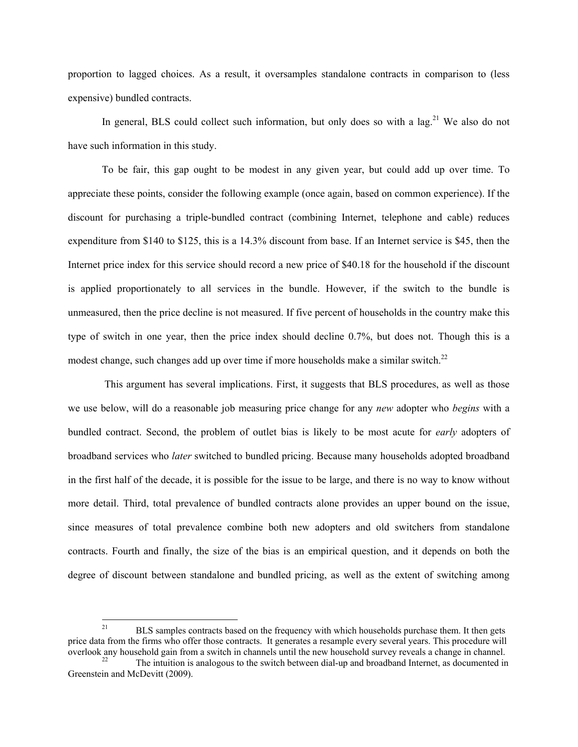proportion to lagged choices. As a result, it oversamples standalone contracts in comparison to (less expensive) bundled contracts.

In general, BLS could collect such information, but only does so with a  $\log^{21}$  We also do not have such information in this study.

To be fair, this gap ought to be modest in any given year, but could add up over time. To appreciate these points, consider the following example (once again, based on common experience). If the discount for purchasing a triple-bundled contract (combining Internet, telephone and cable) reduces expenditure from \$140 to \$125, this is a 14.3% discount from base. If an Internet service is \$45, then the Internet price index for this service should record a new price of \$40.18 for the household if the discount is applied proportionately to all services in the bundle. However, if the switch to the bundle is unmeasured, then the price decline is not measured. If five percent of households in the country make this type of switch in one year, then the price index should decline 0.7%, but does not. Though this is a modest change, such changes add up over time if more households make a similar switch.<sup>22</sup>

 This argument has several implications. First, it suggests that BLS procedures, as well as those we use below, will do a reasonable job measuring price change for any *new* adopter who *begins* with a bundled contract. Second, the problem of outlet bias is likely to be most acute for *early* adopters of broadband services who *later* switched to bundled pricing. Because many households adopted broadband in the first half of the decade, it is possible for the issue to be large, and there is no way to know without more detail. Third, total prevalence of bundled contracts alone provides an upper bound on the issue, since measures of total prevalence combine both new adopters and old switchers from standalone contracts. Fourth and finally, the size of the bias is an empirical question, and it depends on both the degree of discount between standalone and bundled pricing, as well as the extent of switching among

 $21$ 21 BLS samples contracts based on the frequency with which households purchase them. It then gets price data from the firms who offer those contracts. It generates a resample every several years. This procedure will overlook any household gain from a switch in channels until the new household survey reveals a change in channel.<br><sup>22</sup> The intuition is analogous to the switch between dial-up and broadband Internet, as documented in

Greenstein and McDevitt (2009).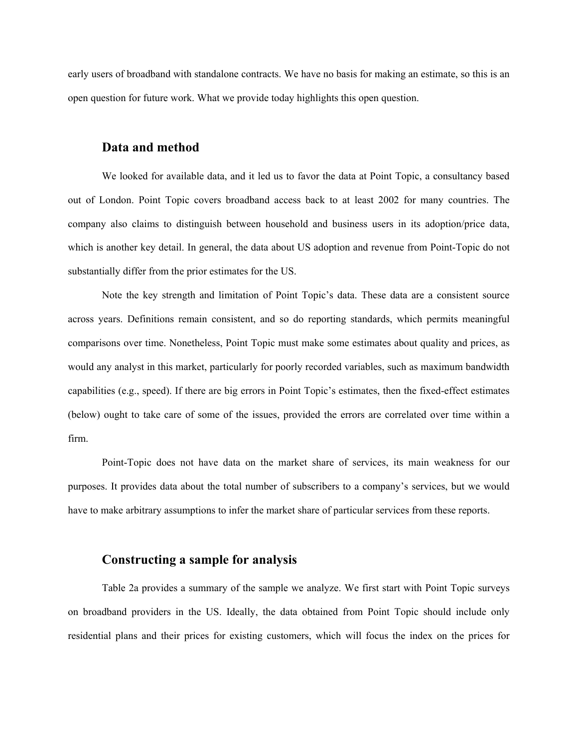early users of broadband with standalone contracts. We have no basis for making an estimate, so this is an open question for future work. What we provide today highlights this open question.

#### **Data and method**

We looked for available data, and it led us to favor the data at Point Topic, a consultancy based out of London. Point Topic covers broadband access back to at least 2002 for many countries. The company also claims to distinguish between household and business users in its adoption/price data, which is another key detail. In general, the data about US adoption and revenue from Point-Topic do not substantially differ from the prior estimates for the US.

Note the key strength and limitation of Point Topic's data. These data are a consistent source across years. Definitions remain consistent, and so do reporting standards, which permits meaningful comparisons over time. Nonetheless, Point Topic must make some estimates about quality and prices, as would any analyst in this market, particularly for poorly recorded variables, such as maximum bandwidth capabilities (e.g., speed). If there are big errors in Point Topic's estimates, then the fixed-effect estimates (below) ought to take care of some of the issues, provided the errors are correlated over time within a firm.

Point-Topic does not have data on the market share of services, its main weakness for our purposes. It provides data about the total number of subscribers to a company's services, but we would have to make arbitrary assumptions to infer the market share of particular services from these reports.

#### **Constructing a sample for analysis**

Table 2a provides a summary of the sample we analyze. We first start with Point Topic surveys on broadband providers in the US. Ideally, the data obtained from Point Topic should include only residential plans and their prices for existing customers, which will focus the index on the prices for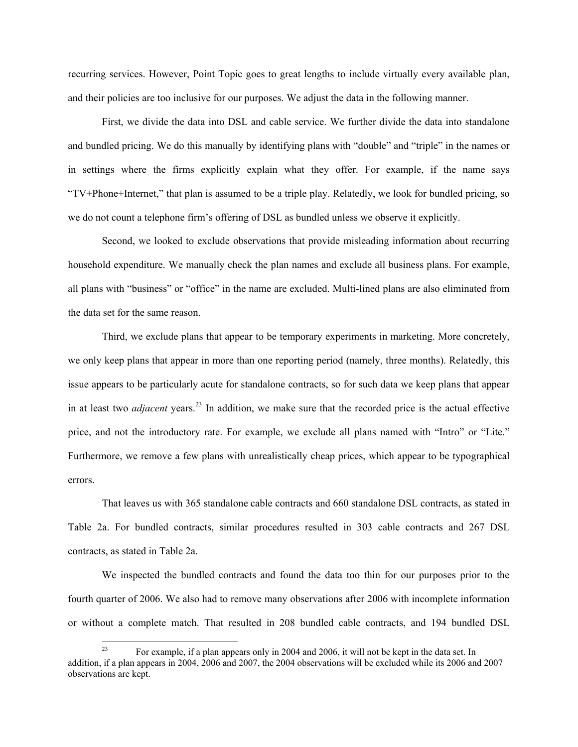recurring services. However, Point Topic goes to great lengths to include virtually every available plan, and their policies are too inclusive for our purposes. We adjust the data in the following manner.

First, we divide the data into DSL and cable service. We further divide the data into standalone and bundled pricing. We do this manually by identifying plans with "double" and "triple" in the names or in settings where the firms explicitly explain what they offer. For example, if the name says "TV+Phone+Internet," that plan is assumed to be a triple play. Relatedly, we look for bundled pricing, so we do not count a telephone firm's offering of DSL as bundled unless we observe it explicitly.

Second, we looked to exclude observations that provide misleading information about recurring household expenditure. We manually check the plan names and exclude all business plans. For example, all plans with "business" or "office" in the name are excluded. Multi-lined plans are also eliminated from the data set for the same reason.

Third, we exclude plans that appear to be temporary experiments in marketing. More concretely, we only keep plans that appear in more than one reporting period (namely, three months). Relatedly, this issue appears to be particularly acute for standalone contracts, so for such data we keep plans that appear in at least two *adjacent* years.<sup>23</sup> In addition, we make sure that the recorded price is the actual effective price, and not the introductory rate. For example, we exclude all plans named with "Intro" or "Lite." Furthermore, we remove a few plans with unrealistically cheap prices, which appear to be typographical errors.

That leaves us with 365 standalone cable contracts and 660 standalone DSL contracts, as stated in Table 2a. For bundled contracts, similar procedures resulted in 303 cable contracts and 267 DSL contracts, as stated in Table 2a.

We inspected the bundled contracts and found the data too thin for our purposes prior to the fourth quarter of 2006. We also had to remove many observations after 2006 with incomplete information or without a complete match. That resulted in 208 bundled cable contracts, and 194 bundled DSL

 $23$ 23 For example, if a plan appears only in 2004 and 2006, it will not be kept in the data set. In addition, if a plan appears in 2004, 2006 and 2007, the 2004 observations will be excluded while its 2006 and 2007 observations are kept.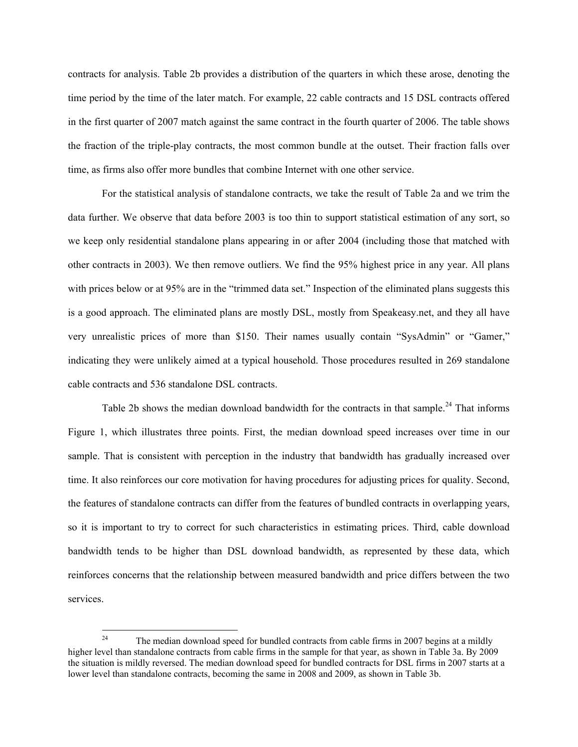contracts for analysis. Table 2b provides a distribution of the quarters in which these arose, denoting the time period by the time of the later match. For example, 22 cable contracts and 15 DSL contracts offered in the first quarter of 2007 match against the same contract in the fourth quarter of 2006. The table shows the fraction of the triple-play contracts, the most common bundle at the outset. Their fraction falls over time, as firms also offer more bundles that combine Internet with one other service.

For the statistical analysis of standalone contracts, we take the result of Table 2a and we trim the data further. We observe that data before 2003 is too thin to support statistical estimation of any sort, so we keep only residential standalone plans appearing in or after 2004 (including those that matched with other contracts in 2003). We then remove outliers. We find the 95% highest price in any year. All plans with prices below or at 95% are in the "trimmed data set." Inspection of the eliminated plans suggests this is a good approach. The eliminated plans are mostly DSL, mostly from Speakeasy.net, and they all have very unrealistic prices of more than \$150. Their names usually contain "SysAdmin" or "Gamer," indicating they were unlikely aimed at a typical household. Those procedures resulted in 269 standalone cable contracts and 536 standalone DSL contracts.

Table 2b shows the median download bandwidth for the contracts in that sample.<sup>24</sup> That informs Figure 1, which illustrates three points. First, the median download speed increases over time in our sample. That is consistent with perception in the industry that bandwidth has gradually increased over time. It also reinforces our core motivation for having procedures for adjusting prices for quality. Second, the features of standalone contracts can differ from the features of bundled contracts in overlapping years, so it is important to try to correct for such characteristics in estimating prices. Third, cable download bandwidth tends to be higher than DSL download bandwidth, as represented by these data, which reinforces concerns that the relationship between measured bandwidth and price differs between the two services.

 $24$ The median download speed for bundled contracts from cable firms in 2007 begins at a mildly higher level than standalone contracts from cable firms in the sample for that year, as shown in Table 3a. By 2009 the situation is mildly reversed. The median download speed for bundled contracts for DSL firms in 2007 starts at a lower level than standalone contracts, becoming the same in 2008 and 2009, as shown in Table 3b.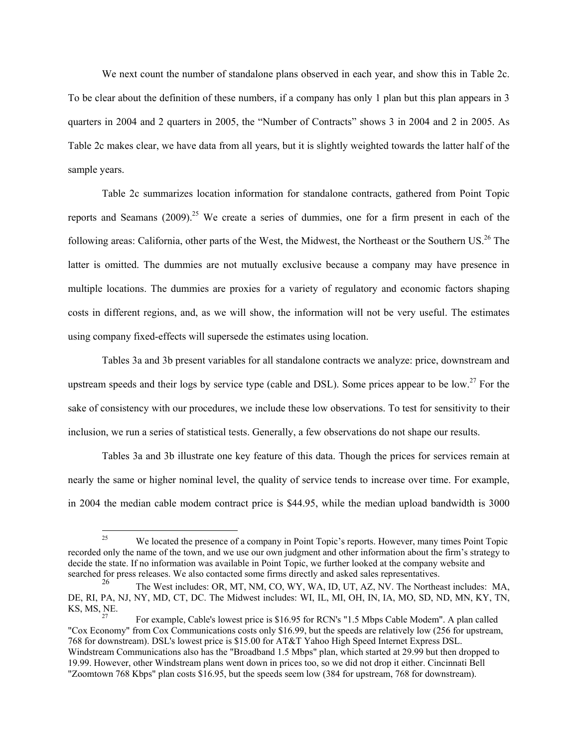We next count the number of standalone plans observed in each year, and show this in Table 2c. To be clear about the definition of these numbers, if a company has only 1 plan but this plan appears in 3 quarters in 2004 and 2 quarters in 2005, the "Number of Contracts" shows 3 in 2004 and 2 in 2005. As Table 2c makes clear, we have data from all years, but it is slightly weighted towards the latter half of the sample years.

Table 2c summarizes location information for standalone contracts, gathered from Point Topic reports and Seamans  $(2009)^{25}$  We create a series of dummies, one for a firm present in each of the following areas: California, other parts of the West, the Midwest, the Northeast or the Southern US.<sup>26</sup> The latter is omitted. The dummies are not mutually exclusive because a company may have presence in multiple locations. The dummies are proxies for a variety of regulatory and economic factors shaping costs in different regions, and, as we will show, the information will not be very useful. The estimates using company fixed-effects will supersede the estimates using location.

Tables 3a and 3b present variables for all standalone contracts we analyze: price, downstream and upstream speeds and their logs by service type (cable and DSL). Some prices appear to be low.<sup>27</sup> For the sake of consistency with our procedures, we include these low observations. To test for sensitivity to their inclusion, we run a series of statistical tests. Generally, a few observations do not shape our results.

Tables 3a and 3b illustrate one key feature of this data. Though the prices for services remain at nearly the same or higher nominal level, the quality of service tends to increase over time. For example, in 2004 the median cable modem contract price is \$44.95, while the median upload bandwidth is 3000

 $\overline{a}$ 

We located the presence of a company in Point Topic's reports. However, many times Point Topic recorded only the name of the town, and we use our own judgment and other information about the firm's strategy to decide the state. If no information was available in Point Topic, we further looked at the company website and searched for press releases. We also contacted some firms directly and asked sales representatives.

The West includes: OR, MT, NM, CO, WY, WA, ID, UT, AZ, NV. The Northeast includes: MA, DE, RI, PA, NJ, NY, MD, CT, DC. The Midwest includes: WI, IL, MI, OH, IN, IA, MO, SD, ND, MN, KY, TN, KS, MS, NE.<br><sup>27</sup> For example, Cable's lowest price is \$16.95 for RCN's "1.5 Mbps Cable Modem". A plan called

<sup>&</sup>quot;Cox Economy" from Cox Communications costs only \$16.99, but the speeds are relatively low (256 for upstream, 768 for downstream). DSL's lowest price is \$15.00 for AT&T Yahoo High Speed Internet Express DSL. Windstream Communications also has the "Broadband 1.5 Mbps" plan, which started at 29.99 but then dropped to 19.99. However, other Windstream plans went down in prices too, so we did not drop it either. Cincinnati Bell "Zoomtown 768 Kbps" plan costs \$16.95, but the speeds seem low (384 for upstream, 768 for downstream).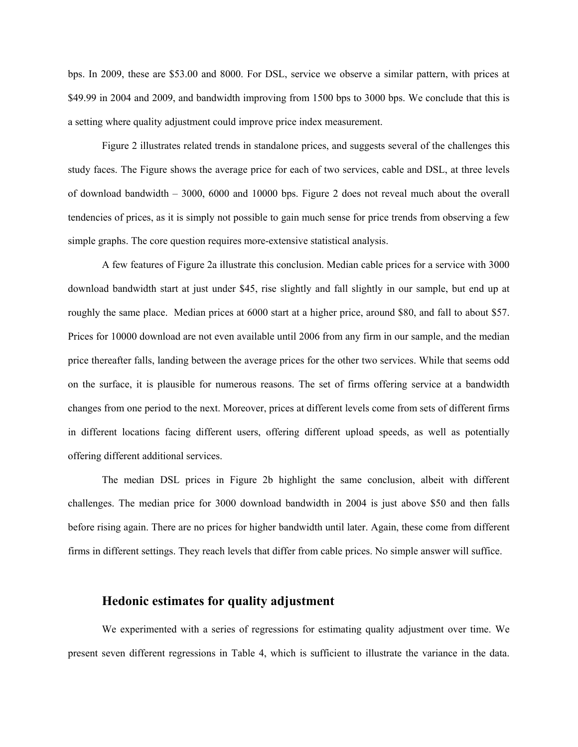bps. In 2009, these are \$53.00 and 8000. For DSL, service we observe a similar pattern, with prices at \$49.99 in 2004 and 2009, and bandwidth improving from 1500 bps to 3000 bps. We conclude that this is a setting where quality adjustment could improve price index measurement.

Figure 2 illustrates related trends in standalone prices, and suggests several of the challenges this study faces. The Figure shows the average price for each of two services, cable and DSL, at three levels of download bandwidth – 3000, 6000 and 10000 bps. Figure 2 does not reveal much about the overall tendencies of prices, as it is simply not possible to gain much sense for price trends from observing a few simple graphs. The core question requires more-extensive statistical analysis.

A few features of Figure 2a illustrate this conclusion. Median cable prices for a service with 3000 download bandwidth start at just under \$45, rise slightly and fall slightly in our sample, but end up at roughly the same place. Median prices at 6000 start at a higher price, around \$80, and fall to about \$57. Prices for 10000 download are not even available until 2006 from any firm in our sample, and the median price thereafter falls, landing between the average prices for the other two services. While that seems odd on the surface, it is plausible for numerous reasons. The set of firms offering service at a bandwidth changes from one period to the next. Moreover, prices at different levels come from sets of different firms in different locations facing different users, offering different upload speeds, as well as potentially offering different additional services.

The median DSL prices in Figure 2b highlight the same conclusion, albeit with different challenges. The median price for 3000 download bandwidth in 2004 is just above \$50 and then falls before rising again. There are no prices for higher bandwidth until later. Again, these come from different firms in different settings. They reach levels that differ from cable prices. No simple answer will suffice.

#### **Hedonic estimates for quality adjustment**

We experimented with a series of regressions for estimating quality adjustment over time. We present seven different regressions in Table 4, which is sufficient to illustrate the variance in the data.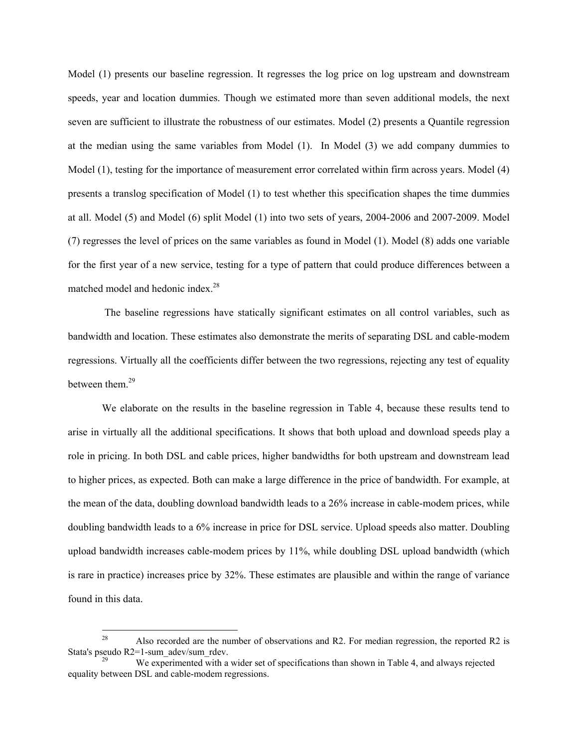Model (1) presents our baseline regression. It regresses the log price on log upstream and downstream speeds, year and location dummies. Though we estimated more than seven additional models, the next seven are sufficient to illustrate the robustness of our estimates. Model (2) presents a Quantile regression at the median using the same variables from Model (1). In Model (3) we add company dummies to Model (1), testing for the importance of measurement error correlated within firm across years. Model (4) presents a translog specification of Model (1) to test whether this specification shapes the time dummies at all. Model (5) and Model (6) split Model (1) into two sets of years, 2004-2006 and 2007-2009. Model (7) regresses the level of prices on the same variables as found in Model (1). Model (8) adds one variable for the first year of a new service, testing for a type of pattern that could produce differences between a matched model and hedonic index.<sup>28</sup>

 The baseline regressions have statically significant estimates on all control variables, such as bandwidth and location. These estimates also demonstrate the merits of separating DSL and cable-modem regressions. Virtually all the coefficients differ between the two regressions, rejecting any test of equality between them.<sup>29</sup>

We elaborate on the results in the baseline regression in Table 4, because these results tend to arise in virtually all the additional specifications. It shows that both upload and download speeds play a role in pricing. In both DSL and cable prices, higher bandwidths for both upstream and downstream lead to higher prices, as expected. Both can make a large difference in the price of bandwidth. For example, at the mean of the data, doubling download bandwidth leads to a 26% increase in cable-modem prices, while doubling bandwidth leads to a 6% increase in price for DSL service. Upload speeds also matter. Doubling upload bandwidth increases cable-modem prices by 11%, while doubling DSL upload bandwidth (which is rare in practice) increases price by 32%. These estimates are plausible and within the range of variance found in this data.

<sup>28</sup> Also recorded are the number of observations and R2. For median regression, the reported R2 is Stata's pseudo R2=1-sum\_adev/sum\_rdev.<br>We experimented with a wider set of specifications than shown in Table 4, and always rejected

equality between DSL and cable-modem regressions.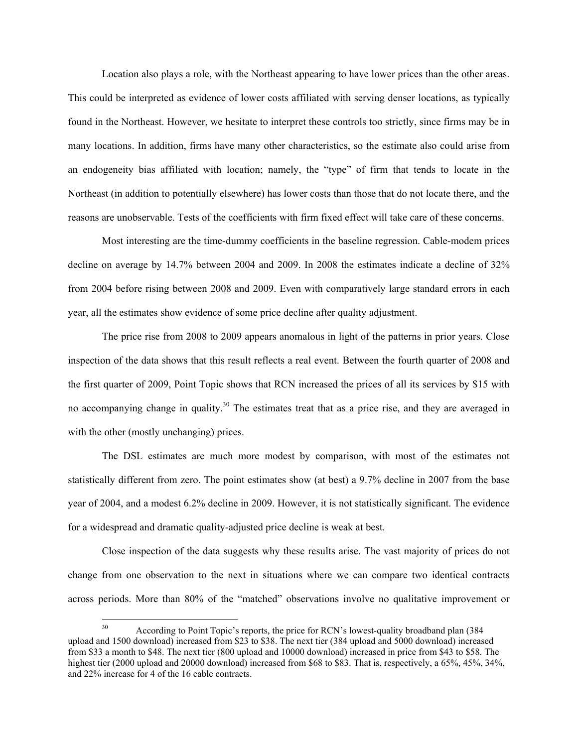Location also plays a role, with the Northeast appearing to have lower prices than the other areas. This could be interpreted as evidence of lower costs affiliated with serving denser locations, as typically found in the Northeast. However, we hesitate to interpret these controls too strictly, since firms may be in many locations. In addition, firms have many other characteristics, so the estimate also could arise from an endogeneity bias affiliated with location; namely, the "type" of firm that tends to locate in the Northeast (in addition to potentially elsewhere) has lower costs than those that do not locate there, and the reasons are unobservable. Tests of the coefficients with firm fixed effect will take care of these concerns.

Most interesting are the time-dummy coefficients in the baseline regression. Cable-modem prices decline on average by 14.7% between 2004 and 2009. In 2008 the estimates indicate a decline of 32% from 2004 before rising between 2008 and 2009. Even with comparatively large standard errors in each year, all the estimates show evidence of some price decline after quality adjustment.

The price rise from 2008 to 2009 appears anomalous in light of the patterns in prior years. Close inspection of the data shows that this result reflects a real event. Between the fourth quarter of 2008 and the first quarter of 2009, Point Topic shows that RCN increased the prices of all its services by \$15 with no accompanying change in quality.<sup>30</sup> The estimates treat that as a price rise, and they are averaged in with the other (mostly unchanging) prices.

The DSL estimates are much more modest by comparison, with most of the estimates not statistically different from zero. The point estimates show (at best) a 9.7% decline in 2007 from the base year of 2004, and a modest 6.2% decline in 2009. However, it is not statistically significant. The evidence for a widespread and dramatic quality-adjusted price decline is weak at best.

Close inspection of the data suggests why these results arise. The vast majority of prices do not change from one observation to the next in situations where we can compare two identical contracts across periods. More than 80% of the "matched" observations involve no qualitative improvement or

 $30<sup>2</sup>$ 30 According to Point Topic's reports, the price for RCN's lowest-quality broadband plan (384 upload and 1500 download) increased from \$23 to \$38. The next tier (384 upload and 5000 download) increased from \$33 a month to \$48. The next tier (800 upload and 10000 download) increased in price from \$43 to \$58. The highest tier (2000 upload and 20000 download) increased from \$68 to \$83. That is, respectively, a 65%, 45%, 34%, and 22% increase for 4 of the 16 cable contracts.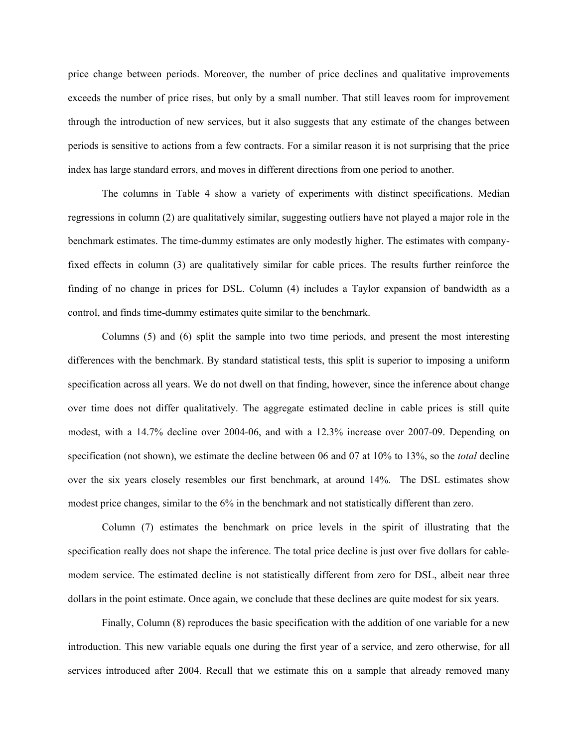price change between periods. Moreover, the number of price declines and qualitative improvements exceeds the number of price rises, but only by a small number. That still leaves room for improvement through the introduction of new services, but it also suggests that any estimate of the changes between periods is sensitive to actions from a few contracts. For a similar reason it is not surprising that the price index has large standard errors, and moves in different directions from one period to another.

The columns in Table 4 show a variety of experiments with distinct specifications. Median regressions in column (2) are qualitatively similar, suggesting outliers have not played a major role in the benchmark estimates. The time-dummy estimates are only modestly higher. The estimates with companyfixed effects in column (3) are qualitatively similar for cable prices. The results further reinforce the finding of no change in prices for DSL. Column (4) includes a Taylor expansion of bandwidth as a control, and finds time-dummy estimates quite similar to the benchmark.

Columns (5) and (6) split the sample into two time periods, and present the most interesting differences with the benchmark. By standard statistical tests, this split is superior to imposing a uniform specification across all years. We do not dwell on that finding, however, since the inference about change over time does not differ qualitatively. The aggregate estimated decline in cable prices is still quite modest, with a 14.7% decline over 2004-06, and with a 12.3% increase over 2007-09. Depending on specification (not shown), we estimate the decline between 06 and 07 at 10% to 13%, so the *total* decline over the six years closely resembles our first benchmark, at around 14%. The DSL estimates show modest price changes, similar to the 6% in the benchmark and not statistically different than zero.

Column (7) estimates the benchmark on price levels in the spirit of illustrating that the specification really does not shape the inference. The total price decline is just over five dollars for cablemodem service. The estimated decline is not statistically different from zero for DSL, albeit near three dollars in the point estimate. Once again, we conclude that these declines are quite modest for six years.

Finally, Column (8) reproduces the basic specification with the addition of one variable for a new introduction. This new variable equals one during the first year of a service, and zero otherwise, for all services introduced after 2004. Recall that we estimate this on a sample that already removed many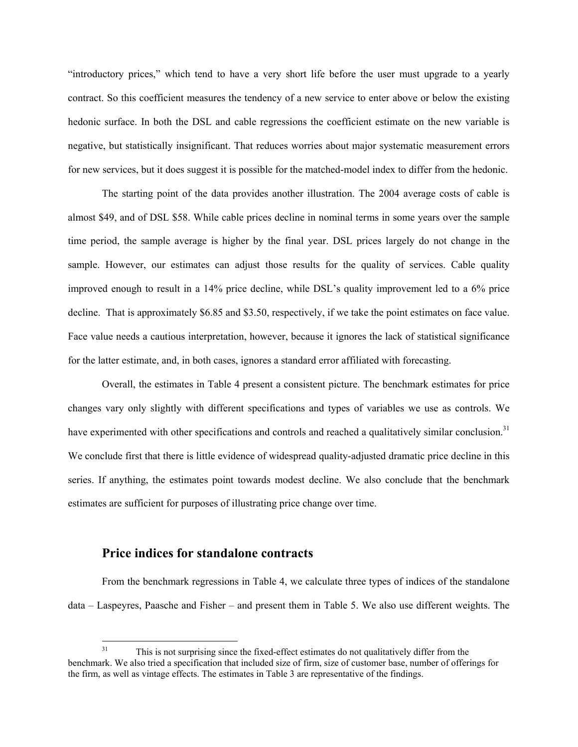"introductory prices," which tend to have a very short life before the user must upgrade to a yearly contract. So this coefficient measures the tendency of a new service to enter above or below the existing hedonic surface. In both the DSL and cable regressions the coefficient estimate on the new variable is negative, but statistically insignificant. That reduces worries about major systematic measurement errors for new services, but it does suggest it is possible for the matched-model index to differ from the hedonic.

The starting point of the data provides another illustration. The 2004 average costs of cable is almost \$49, and of DSL \$58. While cable prices decline in nominal terms in some years over the sample time period, the sample average is higher by the final year. DSL prices largely do not change in the sample. However, our estimates can adjust those results for the quality of services. Cable quality improved enough to result in a 14% price decline, while DSL's quality improvement led to a 6% price decline. That is approximately \$6.85 and \$3.50, respectively, if we take the point estimates on face value. Face value needs a cautious interpretation, however, because it ignores the lack of statistical significance for the latter estimate, and, in both cases, ignores a standard error affiliated with forecasting.

Overall, the estimates in Table 4 present a consistent picture. The benchmark estimates for price changes vary only slightly with different specifications and types of variables we use as controls. We have experimented with other specifications and controls and reached a qualitatively similar conclusion.<sup>31</sup> We conclude first that there is little evidence of widespread quality-adjusted dramatic price decline in this series. If anything, the estimates point towards modest decline. We also conclude that the benchmark estimates are sufficient for purposes of illustrating price change over time.

#### **Price indices for standalone contracts**

From the benchmark regressions in Table 4, we calculate three types of indices of the standalone data – Laspeyres, Paasche and Fisher – and present them in Table 5. We also use different weights. The

 $31$ This is not surprising since the fixed-effect estimates do not qualitatively differ from the benchmark. We also tried a specification that included size of firm, size of customer base, number of offerings for the firm, as well as vintage effects. The estimates in Table 3 are representative of the findings.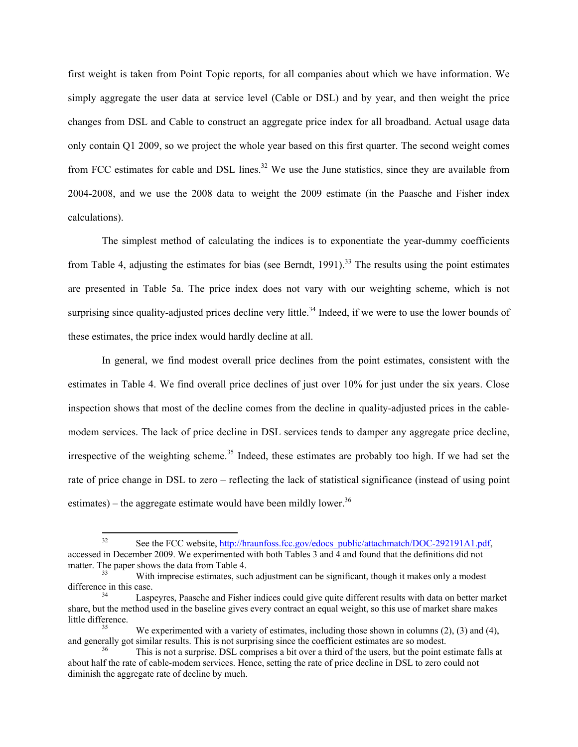first weight is taken from Point Topic reports, for all companies about which we have information. We simply aggregate the user data at service level (Cable or DSL) and by year, and then weight the price changes from DSL and Cable to construct an aggregate price index for all broadband. Actual usage data only contain Q1 2009, so we project the whole year based on this first quarter. The second weight comes from FCC estimates for cable and DSL lines.<sup>32</sup> We use the June statistics, since they are available from 2004-2008, and we use the 2008 data to weight the 2009 estimate (in the Paasche and Fisher index calculations).

The simplest method of calculating the indices is to exponentiate the year-dummy coefficients from Table 4, adjusting the estimates for bias (see Berndt,  $1991$ ).<sup>33</sup> The results using the point estimates are presented in Table 5a. The price index does not vary with our weighting scheme, which is not surprising since quality-adjusted prices decline very little.<sup>34</sup> Indeed, if we were to use the lower bounds of these estimates, the price index would hardly decline at all.

In general, we find modest overall price declines from the point estimates, consistent with the estimates in Table 4. We find overall price declines of just over 10% for just under the six years. Close inspection shows that most of the decline comes from the decline in quality-adjusted prices in the cablemodem services. The lack of price decline in DSL services tends to damper any aggregate price decline, irrespective of the weighting scheme.<sup>35</sup> Indeed, these estimates are probably too high. If we had set the rate of price change in DSL to zero – reflecting the lack of statistical significance (instead of using point estimates) – the aggregate estimate would have been mildly lower.<sup>36</sup>

 $32\,$ See the FCC website, http://hraunfoss.fcc.gov/edocs\_public/attachmatch/DOC-292191A1.pdf, accessed in December 2009. We experimented with both Tables 3 and  $\overline{4}$  and found that the definitions did not matter. The paper shows the data from Table 4.<br>With imprecise estimates, such adjustment can be significant, though it makes only a modest

difference in this case.<br>Laspeyres, Paasche and Fisher indices could give quite different results with data on better market

share, but the method used in the baseline gives every contract an equal weight, so this use of market share makes little difference. 35 We experimented with a variety of estimates, including those shown in columns (2), (3) and (4),

and generally got similar results. This is not surprising since the coefficient estimates are so modest.<br><sup>36</sup> This is not a surprise. DSL comprises a bit over a third of the users, but the point estimate falls at

about half the rate of cable-modem services. Hence, setting the rate of price decline in DSL to zero could not diminish the aggregate rate of decline by much.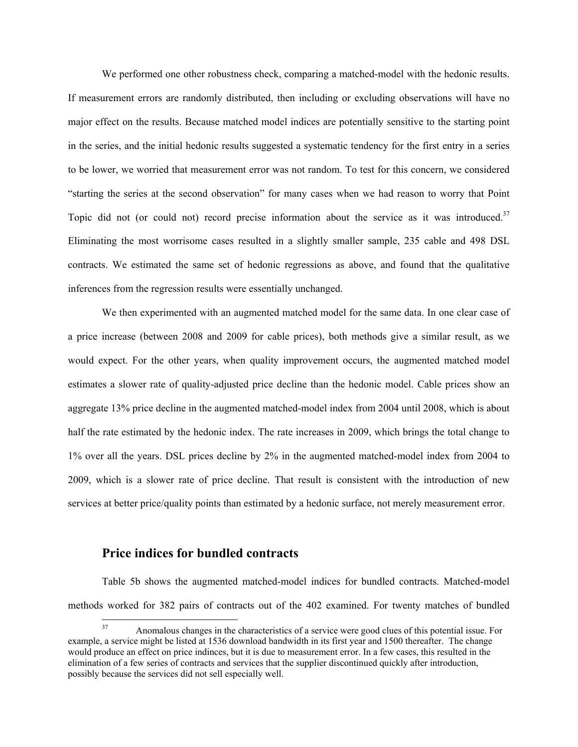We performed one other robustness check, comparing a matched-model with the hedonic results. If measurement errors are randomly distributed, then including or excluding observations will have no major effect on the results. Because matched model indices are potentially sensitive to the starting point in the series, and the initial hedonic results suggested a systematic tendency for the first entry in a series to be lower, we worried that measurement error was not random. To test for this concern, we considered "starting the series at the second observation" for many cases when we had reason to worry that Point Topic did not (or could not) record precise information about the service as it was introduced.<sup>37</sup> Eliminating the most worrisome cases resulted in a slightly smaller sample, 235 cable and 498 DSL contracts. We estimated the same set of hedonic regressions as above, and found that the qualitative inferences from the regression results were essentially unchanged.

We then experimented with an augmented matched model for the same data. In one clear case of a price increase (between 2008 and 2009 for cable prices), both methods give a similar result, as we would expect. For the other years, when quality improvement occurs, the augmented matched model estimates a slower rate of quality-adjusted price decline than the hedonic model. Cable prices show an aggregate 13% price decline in the augmented matched-model index from 2004 until 2008, which is about half the rate estimated by the hedonic index. The rate increases in 2009, which brings the total change to 1% over all the years. DSL prices decline by 2% in the augmented matched-model index from 2004 to 2009, which is a slower rate of price decline. That result is consistent with the introduction of new services at better price/quality points than estimated by a hedonic surface, not merely measurement error.

#### **Price indices for bundled contracts**

Table 5b shows the augmented matched-model indices for bundled contracts. Matched-model methods worked for 382 pairs of contracts out of the 402 examined. For twenty matches of bundled

 $37$ 37 Anomalous changes in the characteristics of a service were good clues of this potential issue. For example, a service might be listed at 1536 download bandwidth in its first year and 1500 thereafter. The change would produce an effect on price indinces, but it is due to measurement error. In a few cases, this resulted in the elimination of a few series of contracts and services that the supplier discontinued quickly after introduction, possibly because the services did not sell especially well.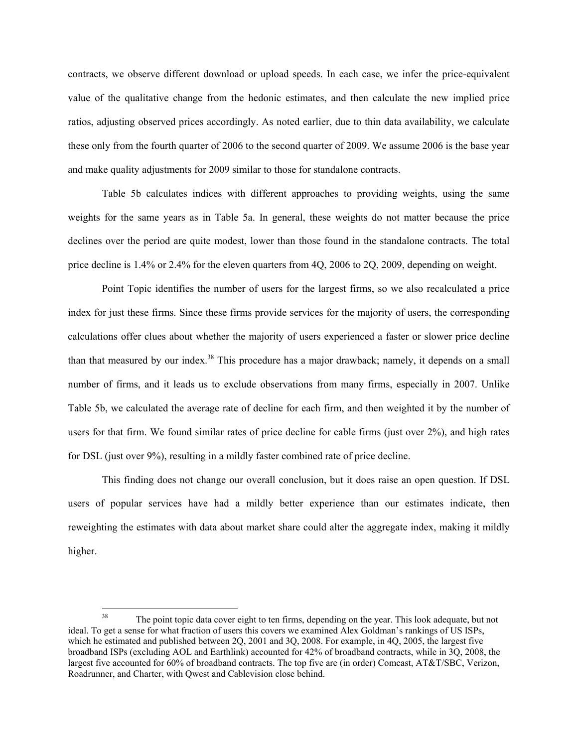contracts, we observe different download or upload speeds. In each case, we infer the price-equivalent value of the qualitative change from the hedonic estimates, and then calculate the new implied price ratios, adjusting observed prices accordingly. As noted earlier, due to thin data availability, we calculate these only from the fourth quarter of 2006 to the second quarter of 2009. We assume 2006 is the base year and make quality adjustments for 2009 similar to those for standalone contracts.

Table 5b calculates indices with different approaches to providing weights, using the same weights for the same years as in Table 5a. In general, these weights do not matter because the price declines over the period are quite modest, lower than those found in the standalone contracts. The total price decline is 1.4% or 2.4% for the eleven quarters from 4Q, 2006 to 2Q, 2009, depending on weight.

Point Topic identifies the number of users for the largest firms, so we also recalculated a price index for just these firms. Since these firms provide services for the majority of users, the corresponding calculations offer clues about whether the majority of users experienced a faster or slower price decline than that measured by our index.<sup>38</sup> This procedure has a major drawback; namely, it depends on a small number of firms, and it leads us to exclude observations from many firms, especially in 2007. Unlike Table 5b, we calculated the average rate of decline for each firm, and then weighted it by the number of users for that firm. We found similar rates of price decline for cable firms (just over 2%), and high rates for DSL (just over 9%), resulting in a mildly faster combined rate of price decline.

This finding does not change our overall conclusion, but it does raise an open question. If DSL users of popular services have had a mildly better experience than our estimates indicate, then reweighting the estimates with data about market share could alter the aggregate index, making it mildly higher.

<sup>38</sup> The point topic data cover eight to ten firms, depending on the year. This look adequate, but not ideal. To get a sense for what fraction of users this covers we examined Alex Goldman's rankings of US ISPs, which he estimated and published between 2Q, 2001 and 3Q, 2008. For example, in 4Q, 2005, the largest five broadband ISPs (excluding AOL and Earthlink) accounted for 42% of broadband contracts, while in 3Q, 2008, the largest five accounted for 60% of broadband contracts. The top five are (in order) Comcast, AT&T/SBC, Verizon, Roadrunner, and Charter, with Qwest and Cablevision close behind.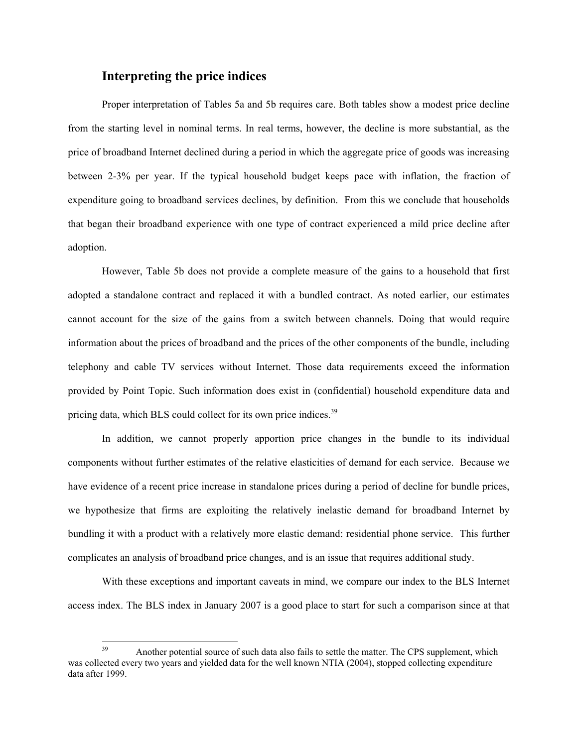#### **Interpreting the price indices**

Proper interpretation of Tables 5a and 5b requires care. Both tables show a modest price decline from the starting level in nominal terms. In real terms, however, the decline is more substantial, as the price of broadband Internet declined during a period in which the aggregate price of goods was increasing between 2-3% per year. If the typical household budget keeps pace with inflation, the fraction of expenditure going to broadband services declines, by definition. From this we conclude that households that began their broadband experience with one type of contract experienced a mild price decline after adoption.

However, Table 5b does not provide a complete measure of the gains to a household that first adopted a standalone contract and replaced it with a bundled contract. As noted earlier, our estimates cannot account for the size of the gains from a switch between channels. Doing that would require information about the prices of broadband and the prices of the other components of the bundle, including telephony and cable TV services without Internet. Those data requirements exceed the information provided by Point Topic. Such information does exist in (confidential) household expenditure data and pricing data, which BLS could collect for its own price indices.<sup>39</sup>

In addition, we cannot properly apportion price changes in the bundle to its individual components without further estimates of the relative elasticities of demand for each service. Because we have evidence of a recent price increase in standalone prices during a period of decline for bundle prices, we hypothesize that firms are exploiting the relatively inelastic demand for broadband Internet by bundling it with a product with a relatively more elastic demand: residential phone service. This further complicates an analysis of broadband price changes, and is an issue that requires additional study.

With these exceptions and important caveats in mind, we compare our index to the BLS Internet access index. The BLS index in January 2007 is a good place to start for such a comparison since at that

<sup>39</sup> Another potential source of such data also fails to settle the matter. The CPS supplement, which was collected every two years and yielded data for the well known NTIA (2004), stopped collecting expenditure data after 1999.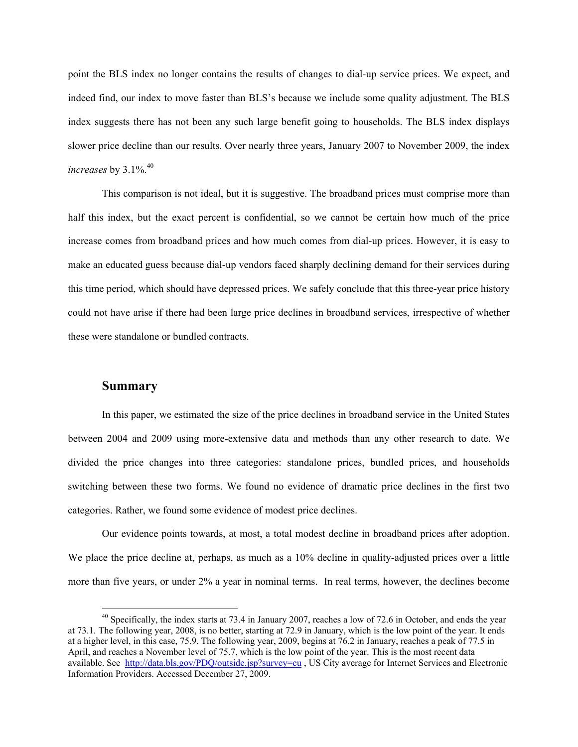point the BLS index no longer contains the results of changes to dial-up service prices. We expect, and indeed find, our index to move faster than BLS's because we include some quality adjustment. The BLS index suggests there has not been any such large benefit going to households. The BLS index displays slower price decline than our results. Over nearly three years, January 2007 to November 2009, the index *increases* by 3.1%.<sup>40</sup>

This comparison is not ideal, but it is suggestive. The broadband prices must comprise more than half this index, but the exact percent is confidential, so we cannot be certain how much of the price increase comes from broadband prices and how much comes from dial-up prices. However, it is easy to make an educated guess because dial-up vendors faced sharply declining demand for their services during this time period, which should have depressed prices. We safely conclude that this three-year price history could not have arise if there had been large price declines in broadband services, irrespective of whether these were standalone or bundled contracts.

#### **Summary**

 $\overline{a}$ 

In this paper, we estimated the size of the price declines in broadband service in the United States between 2004 and 2009 using more-extensive data and methods than any other research to date. We divided the price changes into three categories: standalone prices, bundled prices, and households switching between these two forms. We found no evidence of dramatic price declines in the first two categories. Rather, we found some evidence of modest price declines.

Our evidence points towards, at most, a total modest decline in broadband prices after adoption. We place the price decline at, perhaps, as much as a 10% decline in quality-adjusted prices over a little more than five years, or under 2% a year in nominal terms. In real terms, however, the declines become

 $40$  Specifically, the index starts at 73.4 in January 2007, reaches a low of 72.6 in October, and ends the year at 73.1. The following year, 2008, is no better, starting at 72.9 in January, which is the low point of the year. It ends at a higher level, in this case, 75.9. The following year, 2009, begins at 76.2 in January, reaches a peak of 77.5 in April, and reaches a November level of 75.7, which is the low point of the year. This is the most recent data available. See http://data.bls.gov/PDQ/outside.jsp?survey=cu, US City average for Internet Services and Electronic Information Providers. Accessed December 27, 2009.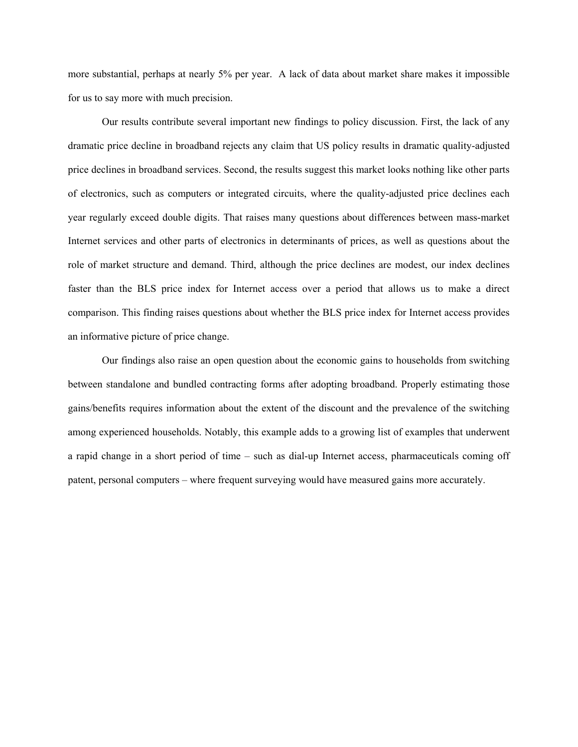more substantial, perhaps at nearly 5% per year. A lack of data about market share makes it impossible for us to say more with much precision.

Our results contribute several important new findings to policy discussion. First, the lack of any dramatic price decline in broadband rejects any claim that US policy results in dramatic quality-adjusted price declines in broadband services. Second, the results suggest this market looks nothing like other parts of electronics, such as computers or integrated circuits, where the quality-adjusted price declines each year regularly exceed double digits. That raises many questions about differences between mass-market Internet services and other parts of electronics in determinants of prices, as well as questions about the role of market structure and demand. Third, although the price declines are modest, our index declines faster than the BLS price index for Internet access over a period that allows us to make a direct comparison. This finding raises questions about whether the BLS price index for Internet access provides an informative picture of price change.

Our findings also raise an open question about the economic gains to households from switching between standalone and bundled contracting forms after adopting broadband. Properly estimating those gains/benefits requires information about the extent of the discount and the prevalence of the switching among experienced households. Notably, this example adds to a growing list of examples that underwent a rapid change in a short period of time – such as dial-up Internet access, pharmaceuticals coming off patent, personal computers – where frequent surveying would have measured gains more accurately.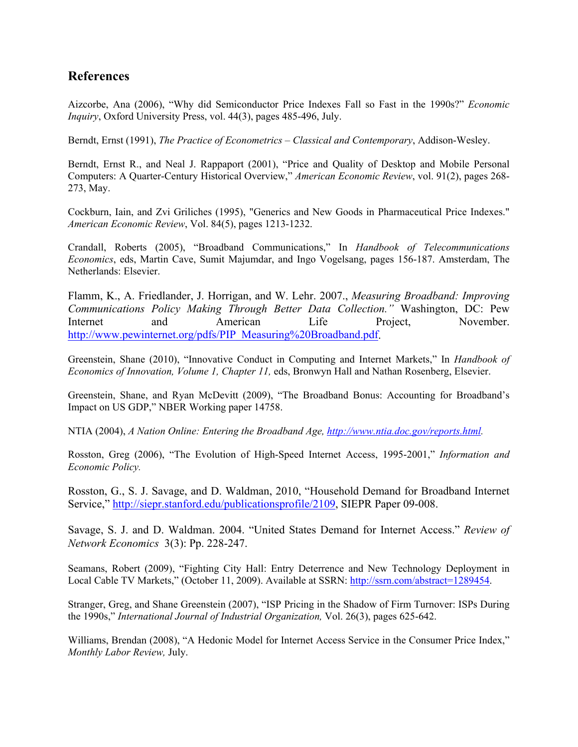### **References**

Aizcorbe, Ana (2006), "Why did Semiconductor Price Indexes Fall so Fast in the 1990s?" *Economic Inquiry*, Oxford University Press, vol. 44(3), pages 485-496, July.

Berndt, Ernst (1991), *The Practice of Econometrics – Classical and Contemporary*, Addison-Wesley.

Berndt, Ernst R., and Neal J. Rappaport (2001), "Price and Quality of Desktop and Mobile Personal Computers: A Quarter-Century Historical Overview," *American Economic Review*, vol. 91(2), pages 268- 273, May.

Cockburn, Iain, and Zvi Griliches (1995), "Generics and New Goods in Pharmaceutical Price Indexes." *American Economic Review*, Vol. 84(5), pages 1213-1232.

Crandall, Roberts (2005), "Broadband Communications," In *Handbook of Telecommunications Economics*, eds, Martin Cave, Sumit Majumdar, and Ingo Vogelsang, pages 156-187. Amsterdam, The Netherlands: Elsevier.

Flamm, K., A. Friedlander, J. Horrigan, and W. Lehr. 2007., *Measuring Broadband: Improving Communications Policy Making Through Better Data Collection."* Washington, DC: Pew Internet and American Life Project, November. http://www.pewinternet.org/pdfs/PIP\_Measuring%20Broadband.pdf.

Greenstein, Shane (2010), "Innovative Conduct in Computing and Internet Markets," In *Handbook of Economics of Innovation, Volume 1, Chapter 11,* eds, Bronwyn Hall and Nathan Rosenberg, Elsevier.

Greenstein, Shane, and Ryan McDevitt (2009), "The Broadband Bonus: Accounting for Broadband's Impact on US GDP," NBER Working paper 14758.

NTIA (2004), *A Nation Online: Entering the Broadband Age, http://www.ntia.doc.gov/reports.html.* 

Rosston, Greg (2006), "The Evolution of High-Speed Internet Access, 1995-2001," *Information and Economic Policy.* 

Rosston, G., S. J. Savage, and D. Waldman, 2010, "Household Demand for Broadband Internet Service," http://siepr.stanford.edu/publicationsprofile/2109, SIEPR Paper 09-008.

Savage, S. J. and D. Waldman. 2004. "United States Demand for Internet Access." *Review of Network Economics* 3(3): Pp. 228-247.

Seamans, Robert (2009), "Fighting City Hall: Entry Deterrence and New Technology Deployment in Local Cable TV Markets," (October 11, 2009). Available at SSRN: http://ssrn.com/abstract=1289454.

Stranger, Greg, and Shane Greenstein (2007), "ISP Pricing in the Shadow of Firm Turnover: ISPs During the 1990s," *International Journal of Industrial Organization,* Vol. 26(3), pages 625-642.

Williams, Brendan (2008), "A Hedonic Model for Internet Access Service in the Consumer Price Index," *Monthly Labor Review,* July.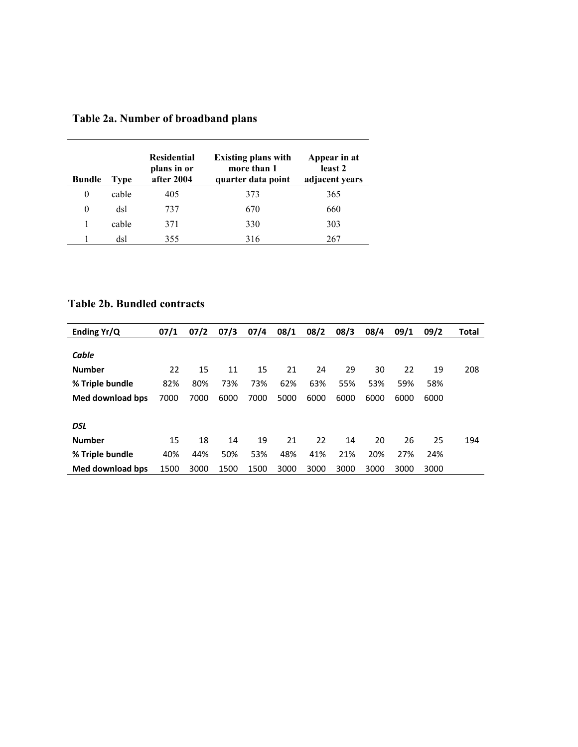| <b>Bundle</b> | Type  | <b>Residential</b><br>plans in or<br>after 2004 | <b>Existing plans with</b><br>more than 1<br>quarter data point | Appear in at<br>least 2<br>adjacent years |
|---------------|-------|-------------------------------------------------|-----------------------------------------------------------------|-------------------------------------------|
| 0             | cable | 405                                             | 373                                                             | 365                                       |
| $\theta$      | dsl   | 737                                             | 670                                                             | 660                                       |
|               | cable | 371                                             | 330                                                             | 303                                       |
|               | dsl   | 355                                             | 316                                                             | 267                                       |

### **Table 2a. Number of broadband plans**

## **Table 2b. Bundled contracts**

| Ending Yr/Q      | 07/1 | 07/2 | 07/3 | 07/4 | 08/1 | 08/2 | 08/3 | 08/4 | 09/1 | 09/2 | Total |
|------------------|------|------|------|------|------|------|------|------|------|------|-------|
|                  |      |      |      |      |      |      |      |      |      |      |       |
| Cable            |      |      |      |      |      |      |      |      |      |      |       |
| <b>Number</b>    | 22   | 15   | 11   | 15   | 21   | 24   | 29   | 30   | 22   | 19   | 208   |
| % Triple bundle  | 82%  | 80%  | 73%  | 73%  | 62%  | 63%  | 55%  | 53%  | 59%  | 58%  |       |
| Med download bps | 7000 | 7000 | 6000 | 7000 | 5000 | 6000 | 6000 | 6000 | 6000 | 6000 |       |
|                  |      |      |      |      |      |      |      |      |      |      |       |
| <b>DSL</b>       |      |      |      |      |      |      |      |      |      |      |       |
| <b>Number</b>    | 15   | 18   | 14   | 19   | 21   | 22   | 14   | 20   | 26   | 25   | 194   |
| % Triple bundle  | 40%  | 44%  | 50%  | 53%  | 48%  | 41%  | 21%  | 20%  | 27%  | 24%  |       |
| Med download bps | 1500 | 3000 | 1500 | 1500 | 3000 | 3000 | 3000 | 3000 | 3000 | 3000 |       |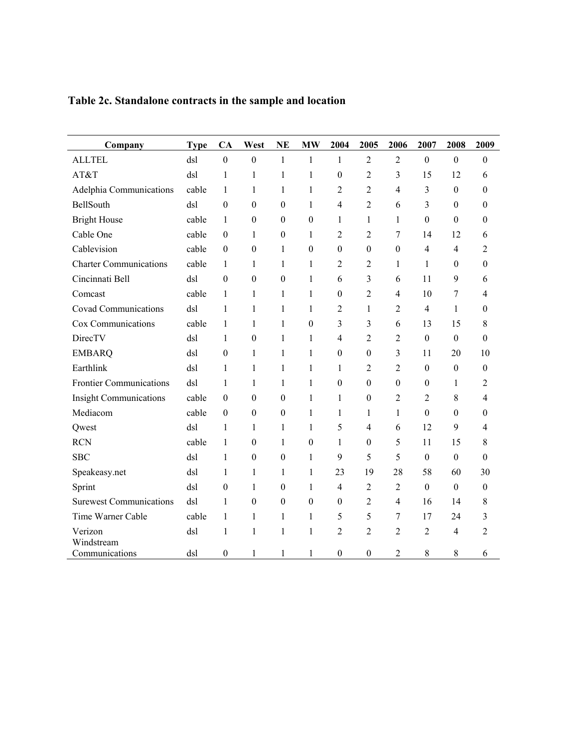| Company                        | <b>Type</b> | CA               | West             | <b>NE</b>        | <b>MW</b>        | 2004             | 2005             | 2006             | 2007                     | 2008             | 2009             |
|--------------------------------|-------------|------------------|------------------|------------------|------------------|------------------|------------------|------------------|--------------------------|------------------|------------------|
| <b>ALLTEL</b>                  | dsl         | $\boldsymbol{0}$ | $\boldsymbol{0}$ | $\mathbf{1}$     | $\mathbf{1}$     | $\mathbf{1}$     | $\overline{2}$   | $\overline{2}$   | $\boldsymbol{0}$         | $\boldsymbol{0}$ | $\boldsymbol{0}$ |
| AT&T                           | dsl         | $\mathbf{1}$     | 1                | 1                | $\mathbf{1}$     | $\mathbf{0}$     | 2                | 3                | 15                       | 12               | 6                |
| Adelphia Communications        | cable       | 1                | 1                | 1                | $\mathbf{1}$     | $\overline{c}$   | $\overline{c}$   | $\overline{4}$   | 3                        | $\boldsymbol{0}$ | $\boldsymbol{0}$ |
| BellSouth                      | dsl         | $\boldsymbol{0}$ | $\boldsymbol{0}$ | $\boldsymbol{0}$ | $\mathbf{1}$     | $\overline{4}$   | $\overline{c}$   | 6                | 3                        | $\boldsymbol{0}$ | $\boldsymbol{0}$ |
| <b>Bright House</b>            | cable       | 1                | $\boldsymbol{0}$ | $\theta$         | $\theta$         | 1                | $\mathbf{1}$     | $\mathbf{1}$     | $\mathbf{0}$             | $\mathbf{0}$     | $\boldsymbol{0}$ |
| Cable One                      | cable       | $\boldsymbol{0}$ | 1                | $\boldsymbol{0}$ | 1                | 2                | 2                | 7                | 14                       | 12               | 6                |
| Cablevision                    | cable       | $\boldsymbol{0}$ | $\boldsymbol{0}$ | 1                | $\boldsymbol{0}$ | $\boldsymbol{0}$ | $\boldsymbol{0}$ | $\boldsymbol{0}$ | $\overline{\mathcal{A}}$ | 4                | 2                |
| <b>Charter Communications</b>  | cable       | 1                | $\mathbf{1}$     | 1                | 1                | $\overline{2}$   | $\overline{2}$   | $\mathbf{1}$     | 1                        | $\theta$         | $\boldsymbol{0}$ |
| Cincinnati Bell                | dsl         | $\boldsymbol{0}$ | $\boldsymbol{0}$ | $\boldsymbol{0}$ | $\mathbf{1}$     | 6                | 3                | 6                | 11                       | 9                | 6                |
| Comcast                        | cable       | 1                | 1                | 1                | $\mathbf{1}$     | $\boldsymbol{0}$ | $\overline{c}$   | $\overline{4}$   | 10                       | 7                | $\overline{4}$   |
| <b>Covad Communications</b>    | dsl         | 1                | 1                | 1                | $\mathbf{1}$     | 2                | $\mathbf{1}$     | $\overline{2}$   | $\overline{4}$           | 1                | $\boldsymbol{0}$ |
| Cox Communications             | cable       | $\mathbf{1}$     | $\mathbf{1}$     | $\mathbf{1}$     | $\boldsymbol{0}$ | 3                | 3                | 6                | 13                       | 15               | $\,$ 8 $\,$      |
| DirecTV                        | dsl         | 1                | $\boldsymbol{0}$ | 1                | $\mathbf{1}$     | $\overline{4}$   | $\overline{c}$   | $\overline{2}$   | $\boldsymbol{0}$         | $\boldsymbol{0}$ | $\boldsymbol{0}$ |
| <b>EMBARQ</b>                  | dsl         | $\boldsymbol{0}$ | $\mathbf{1}$     | $\mathbf{1}$     | $\mathbf{1}$     | $\boldsymbol{0}$ | $\boldsymbol{0}$ | 3                | 11                       | 20               | 10               |
| Earthlink                      | dsl         | $\mathbf{1}$     | 1                | $\mathbf{1}$     | $\mathbf{1}$     | $\mathbf{1}$     | $\overline{c}$   | $\overline{c}$   | $\boldsymbol{0}$         | $\boldsymbol{0}$ | $\boldsymbol{0}$ |
| <b>Frontier Communications</b> | dsl         | $\mathbf{1}$     | 1                | 1                | 1                | $\boldsymbol{0}$ | $\boldsymbol{0}$ | $\boldsymbol{0}$ | $\boldsymbol{0}$         | $\mathbf{1}$     | 2                |
| <b>Insight Communications</b>  | cable       | $\boldsymbol{0}$ | $\boldsymbol{0}$ | $\boldsymbol{0}$ | 1                | $\mathbf{1}$     | $\boldsymbol{0}$ | $\overline{c}$   | $\overline{2}$           | $8\,$            | $\overline{4}$   |
| Mediacom                       | cable       | $\theta$         | $\boldsymbol{0}$ | $\boldsymbol{0}$ | $\mathbf{1}$     | 1                | $\mathbf{1}$     | $\mathbf{1}$     | $\boldsymbol{0}$         | $\mathbf{0}$     | $\boldsymbol{0}$ |
| Qwest                          | dsl         | $\mathbf{1}$     | $\mathbf{1}$     | 1                | $\mathbf{1}$     | 5                | $\overline{4}$   | 6                | 12                       | 9                | $\overline{4}$   |
| <b>RCN</b>                     | cable       | 1                | $\boldsymbol{0}$ | 1                | $\boldsymbol{0}$ | 1                | $\boldsymbol{0}$ | 5                | 11                       | 15               | $\,8\,$          |
| <b>SBC</b>                     | dsl         | $\mathbf{1}$     | $\boldsymbol{0}$ | $\boldsymbol{0}$ | $\mathbf{1}$     | 9                | 5                | 5                | $\boldsymbol{0}$         | $\boldsymbol{0}$ | $\boldsymbol{0}$ |
| Speakeasy.net                  | dsl         | 1                | 1                | 1                | 1                | 23               | 19               | 28               | 58                       | 60               | 30               |
| Sprint                         | dsl         | $\boldsymbol{0}$ | $\mathbf{1}$     | $\boldsymbol{0}$ | $\mathbf{1}$     | $\overline{4}$   | $\overline{2}$   | $\overline{2}$   | $\boldsymbol{0}$         | $\boldsymbol{0}$ | $\boldsymbol{0}$ |
| <b>Surewest Communications</b> | dsl         | $\mathbf{1}$     | $\boldsymbol{0}$ | $\boldsymbol{0}$ | $\boldsymbol{0}$ | $\boldsymbol{0}$ | $\overline{2}$   | $\overline{4}$   | 16                       | 14               | $\,$ 8 $\,$      |
| Time Warner Cable              | cable       | 1                | 1                | 1                | 1                | 5                | 5                | 7                | 17                       | 24               | 3                |
| Verizon<br>Windstream          | dsl         | 1                | 1                | $\mathbf{1}$     | $\mathbf{1}$     | 2                | $\overline{c}$   | $\overline{2}$   | $\overline{2}$           | $\overline{4}$   | $\overline{2}$   |
| Communications                 | dsl         | $\boldsymbol{0}$ | $\mathbf{1}$     | 1                | 1                | $\boldsymbol{0}$ | $\theta$         | 2                | $8\,$                    | $8\,$            | 6                |

**Table 2c. Standalone contracts in the sample and location**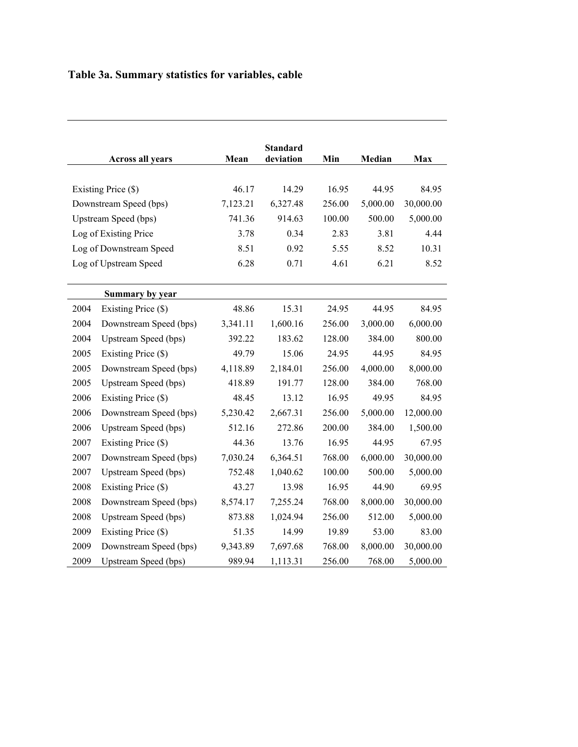# **Table 3a. Summary statistics for variables, cable**

|      |                         |          | <b>Standard</b><br>deviation | Min        | Median   |            |
|------|-------------------------|----------|------------------------------|------------|----------|------------|
|      | <b>Across all years</b> | Mean     |                              |            |          | <b>Max</b> |
|      | Existing Price (\$)     | 46.17    | 14.29                        | 16.95      | 44.95    | 84.95      |
|      | Downstream Speed (bps)  | 7,123.21 | 6,327.48                     | 256.00     | 5,000.00 | 30,000.00  |
|      |                         |          | 914.63                       |            | 500.00   |            |
|      | Upstream Speed (bps)    | 741.36   |                              | 100.00     |          | 5,000.00   |
|      | Log of Existing Price   | 3.78     | 0.34                         | 2.83       | 3.81     | 4.44       |
|      | Log of Downstream Speed | 8.51     | 0.92                         | 5.55       | 8.52     | 10.31      |
|      | Log of Upstream Speed   | 6.28     | 0.71                         | 4.61       | 6.21     | 8.52       |
|      | Summary by year         |          |                              |            |          |            |
| 2004 | Existing Price (\$)     | 48.86    | 15.31                        | 24.95      | 44.95    | 84.95      |
| 2004 | Downstream Speed (bps)  | 3,341.11 | 1,600.16                     | 256.00     | 3,000.00 | 6,000.00   |
| 2004 | Upstream Speed (bps)    | 392.22   | 183.62                       | 128.00     | 384.00   | 800.00     |
| 2005 | Existing Price (\$)     | 49.79    | 15.06                        | 24.95      | 44.95    | 84.95      |
| 2005 | Downstream Speed (bps)  | 4,118.89 | 2,184.01                     | 256.00     | 4,000.00 | 8,000.00   |
| 2005 | Upstream Speed (bps)    | 418.89   | 191.77                       | 128.00     | 384.00   | 768.00     |
| 2006 | Existing Price (\$)     | 48.45    | 13.12                        | 16.95      | 49.95    | 84.95      |
| 2006 | Downstream Speed (bps)  | 5,230.42 | 2,667.31                     | 256.00     | 5,000.00 | 12,000.00  |
| 2006 | Upstream Speed (bps)    | 512.16   | 272.86                       | 200.00     | 384.00   | 1,500.00   |
| 2007 | Existing Price (\$)     | 44.36    | 13.76                        | 16.95      | 44.95    | 67.95      |
| 2007 | Downstream Speed (bps)  | 7,030.24 | 6,364.51                     | 768.00     | 6,000.00 | 30,000.00  |
| 2007 | Upstream Speed (bps)    | 752.48   | 1,040.62                     | $100.00\,$ | 500.00   | 5,000.00   |
| 2008 | Existing Price (\$)     | 43.27    | 13.98                        | 16.95      | 44.90    | 69.95      |
| 2008 | Downstream Speed (bps)  | 8,574.17 | 7,255.24                     | 768.00     | 8,000.00 | 30,000.00  |
| 2008 | Upstream Speed (bps)    | 873.88   | 1,024.94                     | 256.00     | 512.00   | 5,000.00   |
| 2009 | Existing Price (\$)     | 51.35    | 14.99                        | 19.89      | 53.00    | 83.00      |
| 2009 | Downstream Speed (bps)  | 9,343.89 | 7,697.68                     | 768.00     | 8,000.00 | 30,000.00  |
| 2009 | Upstream Speed (bps)    | 989.94   | 1,113.31                     | 256.00     | 768.00   | 5,000.00   |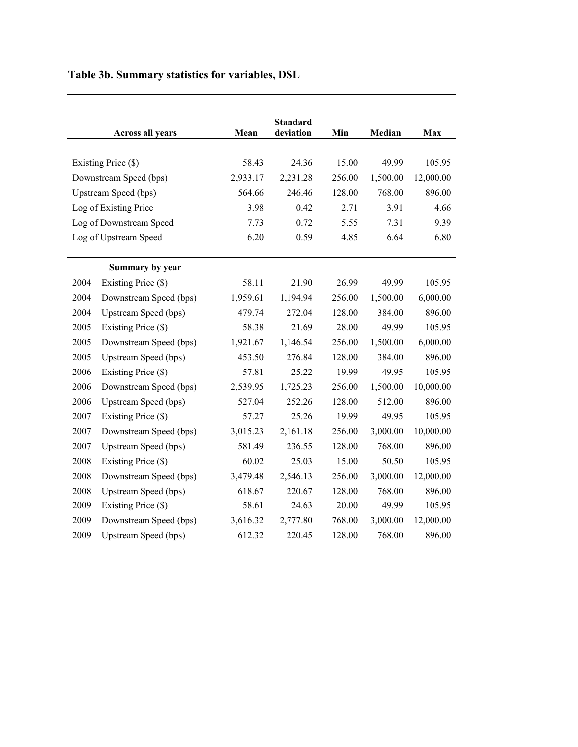| Table 3b. Summary statistics for variables, DSL |  |  |  |
|-------------------------------------------------|--|--|--|
|                                                 |  |  |  |

|      | <b>Across all years</b> | Mean     | <b>Standard</b><br>deviation | Min    | Median   | <b>Max</b> |
|------|-------------------------|----------|------------------------------|--------|----------|------------|
|      | Existing Price (\$)     | 58.43    | 24.36                        | 15.00  | 49.99    | 105.95     |
|      | Downstream Speed (bps)  | 2,933.17 | 2,231.28                     | 256.00 | 1,500.00 | 12,000.00  |
|      | Upstream Speed (bps)    | 564.66   | 246.46                       | 128.00 | 768.00   | 896.00     |
|      | Log of Existing Price   | 3.98     | 0.42                         | 2.71   | 3.91     | 4.66       |
|      | Log of Downstream Speed | 7.73     | 0.72                         | 5.55   | 7.31     | 9.39       |
|      | Log of Upstream Speed   | 6.20     | 0.59                         | 4.85   | 6.64     | 6.80       |
|      |                         |          |                              |        |          |            |
|      | Summary by year         |          |                              |        |          |            |
| 2004 | Existing Price (\$)     | 58.11    | 21.90                        | 26.99  | 49.99    | 105.95     |
| 2004 | Downstream Speed (bps)  | 1,959.61 | 1,194.94                     | 256.00 | 1,500.00 | 6,000.00   |
| 2004 | Upstream Speed (bps)    | 479.74   | 272.04                       | 128.00 | 384.00   | 896.00     |
| 2005 | Existing Price (\$)     | 58.38    | 21.69                        | 28.00  | 49.99    | 105.95     |
| 2005 | Downstream Speed (bps)  | 1,921.67 | 1,146.54                     | 256.00 | 1,500.00 | 6,000.00   |
| 2005 | Upstream Speed (bps)    | 453.50   | 276.84                       | 128.00 | 384.00   | 896.00     |
| 2006 | Existing Price (\$)     | 57.81    | 25.22                        | 19.99  | 49.95    | 105.95     |
| 2006 | Downstream Speed (bps)  | 2,539.95 | 1,725.23                     | 256.00 | 1,500.00 | 10,000.00  |
| 2006 | Upstream Speed (bps)    | 527.04   | 252.26                       | 128.00 | 512.00   | 896.00     |
| 2007 | Existing Price (\$)     | 57.27    | 25.26                        | 19.99  | 49.95    | 105.95     |
| 2007 | Downstream Speed (bps)  | 3,015.23 | 2,161.18                     | 256.00 | 3,000.00 | 10,000.00  |
| 2007 | Upstream Speed (bps)    | 581.49   | 236.55                       | 128.00 | 768.00   | 896.00     |
| 2008 | Existing Price (\$)     | 60.02    | 25.03                        | 15.00  | 50.50    | 105.95     |
| 2008 | Downstream Speed (bps)  | 3,479.48 | 2,546.13                     | 256.00 | 3,000.00 | 12,000.00  |
| 2008 | Upstream Speed (bps)    | 618.67   | 220.67                       | 128.00 | 768.00   | 896.00     |
| 2009 | Existing Price (\$)     | 58.61    | 24.63                        | 20.00  | 49.99    | 105.95     |
| 2009 | Downstream Speed (bps)  | 3,616.32 | 2,777.80                     | 768.00 | 3,000.00 | 12,000.00  |
| 2009 | Upstream Speed (bps)    | 612.32   | 220.45                       | 128.00 | 768.00   | 896.00     |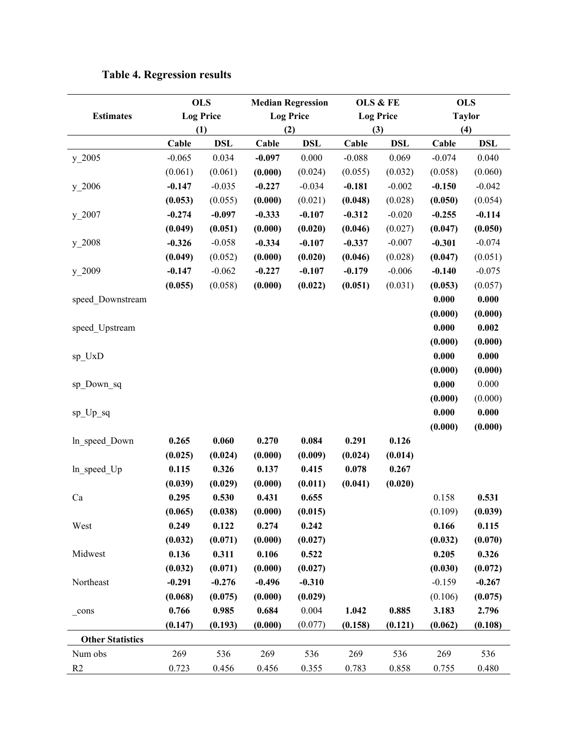|                         |          | <b>OLS</b>       |          | <b>Median Regression</b> |          | OLS & FE         |          | <b>OLS</b>    |
|-------------------------|----------|------------------|----------|--------------------------|----------|------------------|----------|---------------|
| <b>Estimates</b>        |          | <b>Log Price</b> |          | <b>Log Price</b>         |          | <b>Log Price</b> |          | <b>Taylor</b> |
|                         |          | (1)              |          | (2)                      |          | (3)              | (4)      |               |
|                         | Cable    | <b>DSL</b>       | Cable    | <b>DSL</b>               | Cable    | <b>DSL</b>       | Cable    | <b>DSL</b>    |
| $y_22005$               | $-0.065$ | 0.034            | $-0.097$ | 0.000                    | $-0.088$ | 0.069            | $-0.074$ | 0.040         |
|                         | (0.061)  | (0.061)          | (0.000)  | (0.024)                  | (0.055)  | (0.032)          | (0.058)  | (0.060)       |
| $y_22006$               | $-0.147$ | $-0.035$         | $-0.227$ | $-0.034$                 | $-0.181$ | $-0.002$         | $-0.150$ | $-0.042$      |
|                         | (0.053)  | (0.055)          | (0.000)  | (0.021)                  | (0.048)  | (0.028)          | (0.050)  | (0.054)       |
| $y_22007$               | $-0.274$ | $-0.097$         | $-0.333$ | $-0.107$                 | $-0.312$ | $-0.020$         | $-0.255$ | $-0.114$      |
|                         | (0.049)  | (0.051)          | (0.000)  | (0.020)                  | (0.046)  | (0.027)          | (0.047)  | (0.050)       |
| $y_22008$               | $-0.326$ | $-0.058$         | $-0.334$ | $-0.107$                 | $-0.337$ | $-0.007$         | $-0.301$ | $-0.074$      |
|                         | (0.049)  | (0.052)          | (0.000)  | (0.020)                  | (0.046)  | (0.028)          | (0.047)  | (0.051)       |
| $y_22009$               | $-0.147$ | $-0.062$         | $-0.227$ | $-0.107$                 | $-0.179$ | $-0.006$         | $-0.140$ | $-0.075$      |
|                         | (0.055)  | (0.058)          | (0.000)  | (0.022)                  | (0.051)  | (0.031)          | (0.053)  | (0.057)       |
| speed Downstream        |          |                  |          |                          |          |                  | 0.000    | 0.000         |
|                         |          |                  |          |                          |          |                  | (0.000)  | (0.000)       |
| speed_Upstream          |          |                  |          |                          |          |                  | 0.000    | 0.002         |
|                         |          |                  |          |                          |          |                  | (0.000)  | (0.000)       |
| $sp_UxD$                |          |                  |          |                          |          |                  | 0.000    | 0.000         |
|                         |          |                  |          |                          |          |                  | (0.000)  | (0.000)       |
| sp_Down_sq              |          |                  |          |                          |          |                  | 0.000    | 0.000         |
|                         |          |                  |          |                          |          |                  | (0.000)  | (0.000)       |
| $sp_{D_sq}$             |          |                  |          |                          |          |                  | 0.000    | 0.000         |
|                         |          |                  |          |                          |          |                  | (0.000)  | (0.000)       |
| In speed Down           | 0.265    | 0.060            | 0.270    | 0.084                    | 0.291    | 0.126            |          |               |
|                         | (0.025)  | (0.024)          | (0.000)  | (0.009)                  | (0.024)  | (0.014)          |          |               |
| ln_speed_Up             | 0.115    | 0.326            | 0.137    | 0.415                    | 0.078    | 0.267            |          |               |
|                         | (0.039)  | (0.029)          | (0.000)  | (0.011)                  | (0.041)  | (0.020)          |          |               |
| Ca                      | 0.295    | 0.530            | 0.431    | 0.655                    |          |                  | 0.158    | 0.531         |
|                         | (0.065)  | (0.038)          | (0.000)  | (0.015)                  |          |                  | (0.109)  | (0.039)       |
| West                    | 0.249    | 0.122            | 0.274    | 0.242                    |          |                  | 0.166    | 0.115         |
|                         | (0.032)  | (0.071)          | (0.000)  | (0.027)                  |          |                  | (0.032)  | (0.070)       |
| Midwest                 | 0.136    | 0.311            | 0.106    | 0.522                    |          |                  | 0.205    | 0.326         |
|                         | (0.032)  | (0.071)          | (0.000)  | (0.027)                  |          |                  | (0.030)  | (0.072)       |
| Northeast               | $-0.291$ | $-0.276$         | $-0.496$ | $-0.310$                 |          |                  | $-0.159$ | $-0.267$      |
|                         | (0.068)  | (0.075)          | (0.000)  | (0.029)                  |          |                  | (0.106)  | (0.075)       |
| $_{\rm cons}$           | 0.766    | 0.985            | 0.684    | 0.004                    | 1.042    | 0.885            | 3.183    | 2.796         |
|                         | (0.147)  | (0.193)          | (0.000)  | (0.077)                  | (0.158)  | (0.121)          | (0.062)  | (0.108)       |
| <b>Other Statistics</b> |          |                  |          |                          |          |                  |          |               |
| Num obs                 | 269      | 536              | 269      | 536                      | 269      | 536              | 269      | 536           |
| R2                      | 0.723    | 0.456            | 0.456    | 0.355                    | 0.783    | 0.858            | 0.755    | 0.480         |

## **Table 4. Regression results**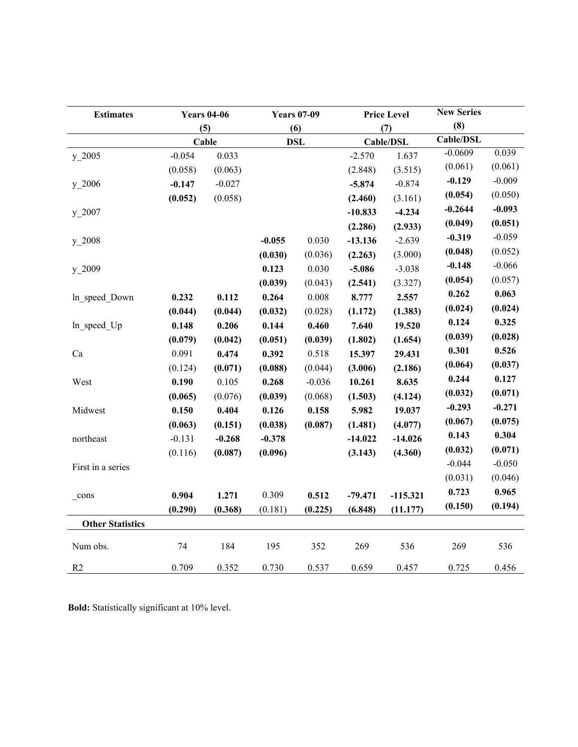| <b>Estimates</b>        | <b>Years 04-06</b> |          | <b>Years 07-09</b> |            |           | <b>Price Level</b> | <b>New Series</b> |          |
|-------------------------|--------------------|----------|--------------------|------------|-----------|--------------------|-------------------|----------|
|                         |                    | (5)      |                    | (6)        |           | (7)                | (8)               |          |
|                         |                    | Cable    |                    | <b>DSL</b> |           | Cable/DSL          | Cable/DSL         |          |
| $y_22005$               | $-0.054$           | 0.033    |                    |            | $-2.570$  | 1.637              | $-0.0609$         | 0.039    |
|                         | (0.058)            | (0.063)  |                    |            | (2.848)   | (3.515)            | (0.061)           | (0.061)  |
| $y_22006$               | $-0.147$           | $-0.027$ |                    |            | $-5.874$  | $-0.874$           | $-0.129$          | $-0.009$ |
|                         | (0.052)            | (0.058)  |                    |            | (2.460)   | (3.161)            | (0.054)           | (0.050)  |
| $y_22007$               |                    |          |                    |            | $-10.833$ | $-4.234$           | $-0.2644$         | $-0.093$ |
|                         |                    |          |                    |            | (2.286)   | (2.933)            | (0.049)           | (0.051)  |
| $y_22008$               |                    |          | $-0.055$           | 0.030      | $-13.136$ | $-2.639$           | $-0.319$          | $-0.059$ |
|                         |                    |          | (0.030)            | (0.036)    | (2.263)   | (3.000)            | (0.048)           | (0.052)  |
| $y_{.2009}$             |                    |          | 0.123              | 0.030      | $-5.086$  | $-3.038$           | $-0.148$          | $-0.066$ |
|                         |                    |          | (0.039)            | (0.043)    | (2.541)   | (3.327)            | (0.054)           | (0.057)  |
| In speed Down           | 0.232              | 0.112    | 0.264              | 0.008      | 8.777     | 2.557              | 0.262             | 0.063    |
|                         | (0.044)            | (0.044)  | (0.032)            | (0.028)    | (1.172)   | (1.383)            | (0.024)           | (0.024)  |
| In speed Up             | 0.148              | 0.206    | 0.144              | 0.460      | 7.640     | 19.520             | 0.124             | 0.325    |
|                         | (0.079)            | (0.042)  | (0.051)            | (0.039)    | (1.802)   | (1.654)            | (0.039)           | (0.028)  |
| Ca                      | 0.091              | 0.474    | 0.392              | 0.518      | 15.397    | 29.431             | 0.301             | 0.526    |
|                         | (0.124)            | (0.071)  | (0.088)            | (0.044)    | (3.006)   | (2.186)            | (0.064)           | (0.037)  |
| West                    | 0.190              | 0.105    | 0.268              | $-0.036$   | 10.261    | 8.635              | 0.244             | 0.127    |
|                         | (0.065)            | (0.076)  | (0.039)            | (0.068)    | (1.503)   | (4.124)            | (0.032)           | (0.071)  |
| Midwest                 | 0.150              | 0.404    | 0.126              | 0.158      | 5.982     | 19.037             | $-0.293$          | $-0.271$ |
|                         | (0.063)            | (0.151)  | (0.038)            | (0.087)    | (1.481)   | (4.077)            | (0.067)           | (0.075)  |
| northeast               | $-0.131$           | $-0.268$ | $-0.378$           |            | $-14.022$ | $-14.026$          | 0.143             | 0.304    |
|                         | (0.116)            | (0.087)  | (0.096)            |            | (3.143)   | (4.360)            | (0.032)           | (0.071)  |
| First in a series       |                    |          |                    |            |           |                    | $-0.044$          | $-0.050$ |
|                         |                    |          |                    |            |           |                    | (0.031)           | (0.046)  |
| cons                    | 0.904              | 1.271    | 0.309              | 0.512      | $-79.471$ | $-115.321$         | 0.723             | 0.965    |
|                         | (0.290)            | (0.368)  | (0.181)            | (0.225)    | (6.848)   | (11.177)           | (0.150)           | (0.194)  |
| <b>Other Statistics</b> |                    |          |                    |            |           |                    |                   |          |
|                         |                    |          |                    |            |           |                    |                   |          |
| Num obs.                | 74                 | 184      | 195                | 352        | 269       | 536                | 269               | 536      |
| R2                      | 0.709              | 0.352    | 0.730              | 0.537      | 0.659     | 0.457              | 0.725             | 0.456    |

**Bold:** Statistically significant at 10% level.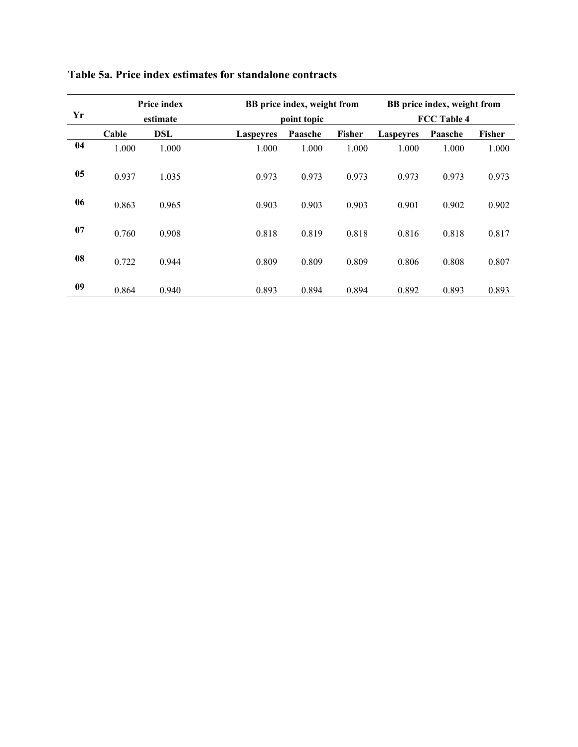|    |       | <b>Price index</b> |                  | BB price index, weight from |                    | BB price index, weight from |         |        |
|----|-------|--------------------|------------------|-----------------------------|--------------------|-----------------------------|---------|--------|
| Yr |       | estimate           |                  | point topic                 | <b>FCC Table 4</b> |                             |         |        |
|    | Cable | <b>DSL</b>         | <b>Laspeyres</b> | Paasche                     | Fisher             | <b>Laspeyres</b>            | Paasche | Fisher |
| 04 | 1.000 | 1.000              | 1.000            | 1.000                       | 1.000              | 1.000                       | 1.000   | 1.000  |
| 05 | 0.937 | 1.035              | 0.973            | 0.973                       | 0.973              | 0.973                       | 0.973   | 0.973  |
| 06 | 0.863 | 0.965              | 0.903            | 0.903                       | 0.903              | 0.901                       | 0.902   | 0.902  |
| 07 | 0.760 | 0.908              | 0.818            | 0.819                       | 0.818              | 0.816                       | 0.818   | 0.817  |
| 08 | 0.722 | 0.944              | 0.809            | 0.809                       | 0.809              | 0.806                       | 0.808   | 0.807  |
| 09 | 0.864 | 0.940              | 0.893            | 0.894                       | 0.894              | 0.892                       | 0.893   | 0.893  |

### **Table 5a. Price index estimates for standalone contracts**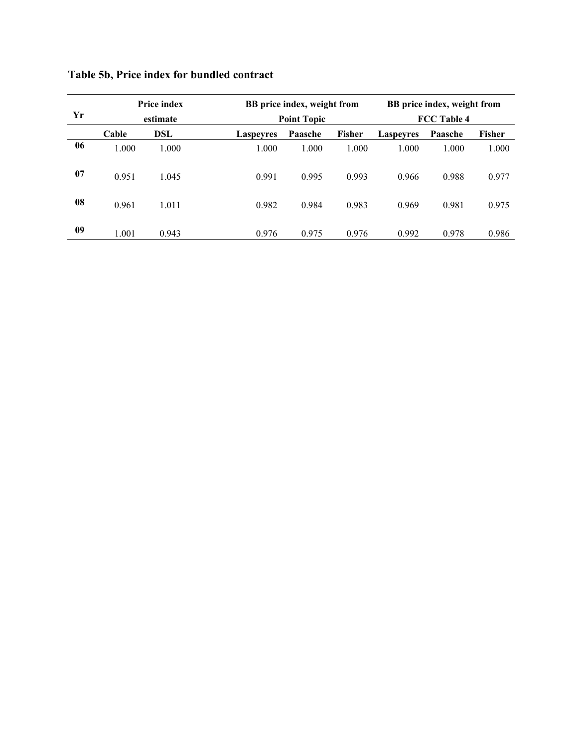| Yr |       | <b>Price index</b><br>estimate |                  | BB price index, weight from<br><b>Point Topic</b> |               | BB price index, weight from<br><b>FCC Table 4</b> |         |               |  |
|----|-------|--------------------------------|------------------|---------------------------------------------------|---------------|---------------------------------------------------|---------|---------------|--|
|    | Cable | DSL                            | <b>Laspeyres</b> | Paasche                                           | <b>Fisher</b> | <b>Laspevres</b>                                  | Paasche | <b>Fisher</b> |  |
| 06 | 1.000 | 1.000                          | 1.000            | 1.000                                             | 1.000         | 1.000                                             | 1.000   | 1.000         |  |
| 07 | 0.951 | 1.045                          | 0.991            | 0.995                                             | 0.993         | 0.966                                             | 0.988   | 0.977         |  |
| 08 | 0.961 | 1.011                          | 0.982            | 0.984                                             | 0.983         | 0.969                                             | 0.981   | 0.975         |  |
| 09 | 1.001 | 0.943                          | 0.976            | 0.975                                             | 0.976         | 0.992                                             | 0.978   | 0.986         |  |

## **Table 5b, Price index for bundled contract**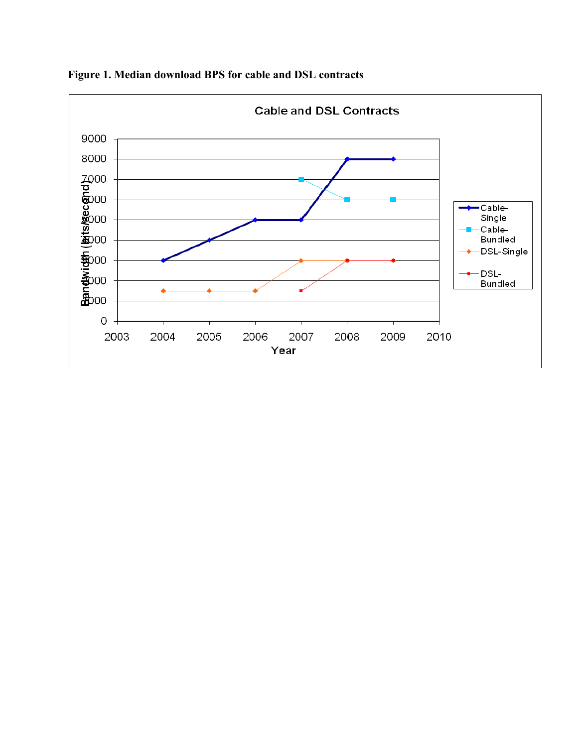

**Figure 1. Median download BPS for cable and DSL contracts**